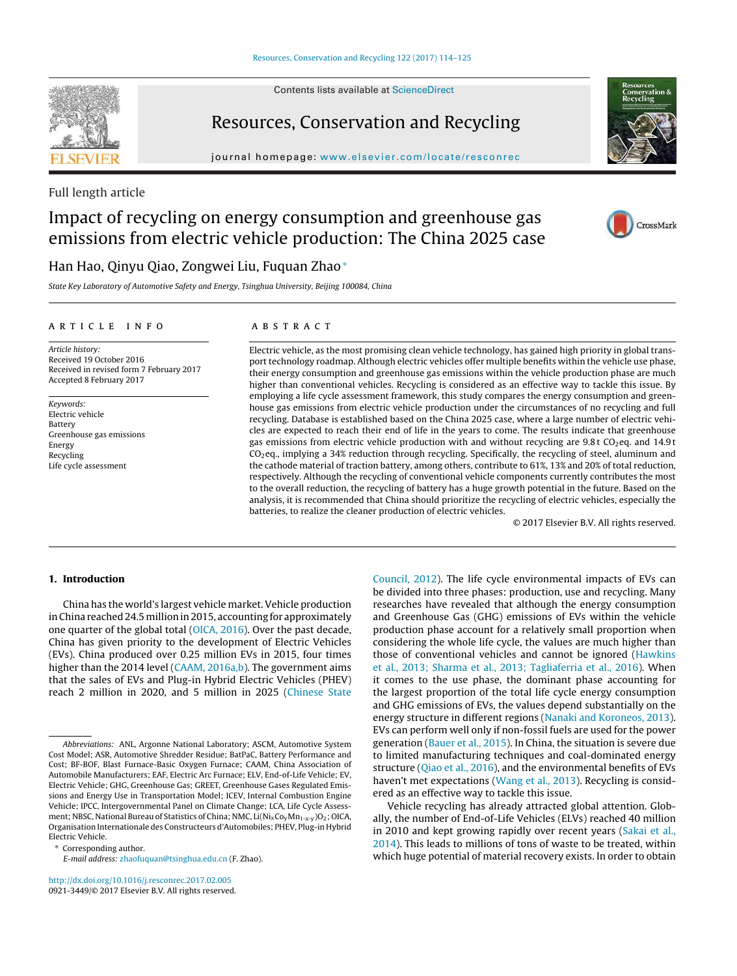Contents lists available at [ScienceDirect](http://www.sciencedirect.com/science/journal/09213449)



# Resources, Conservation and Recycling

journal homepage: [www.elsevier.com/locate/resconrec](http://www.elsevier.com/locate/resconrec)



CrossMark

## Full length article

# Impact of recycling on energy consumption and greenhouse gas emissions from electric vehicle production: The China 2025 case

## Han Hao, Qinyu Qiao, Zongwei Liu, Fuquan Zhao<sup>∗</sup>

State Key Laboratory of Automotive Safety and Energy, Tsinghua University, Beijing 100084, China

## a r t i c l e i n f o

## A B S T R A C T

Article history: Received 19 October 2016 Received in revised form 7 February 2017 Accepted 8 February 2017

Keywords: Electric vehicle Battery Greenhouse gas emissions Energy Recycling Life cycle assessment

Electric vehicle, as the most promising clean vehicle technology, has gained high priority in global transport technology roadmap. Although electric vehicles offer multiple benefits within the vehicle use phase, their energy consumption and greenhouse gas emissions within the vehicle production phase are much higher than conventional vehicles. Recycling is considered as an effective way to tackle this issue. By employing a life cycle assessment framework, this study compares the energy consumption and greenhouse gas emissions from electric vehicle production under the circumstances of no recycling and full recycling. Database is established based on the China 2025 case, where a large number of electric vehicles are expected to reach their end of life in the years to come. The results indicate that greenhouse gas emissions from electric vehicle production with and without recycling are  $9.8$ t CO<sub>2</sub>eq. and  $14.9$ t CO2eq., implying a 34% reduction through recycling. Specifically, the recycling of steel, aluminum and the cathode material of traction battery, among others, contribute to 61%, 13% and 20% of total reduction, respectively. Although the recycling of conventional vehicle components currently contributes the most to the overall reduction, the recycling of battery has a huge growth potential in the future. Based on the analysis, it is recommended that China should prioritize the recycling of electric vehicles, especially the batteries, to realize the cleaner production of electric vehicles.

© 2017 Elsevier B.V. All rights reserved.

## **1. Introduction**

China has the world's largest vehicle market. Vehicle production in China reached 24.5 million in 2015, accounting for approximately one quarter of the global total ([OICA,](#page-11-0) [2016\).](#page-11-0) Over the past decade, China has given priority to the development of Electric Vehicles (EVs). China produced over 0.25 million EVs in 2015, four times higher than the 2014 level [\(CAAM,](#page-10-0) [2016a,b\).](#page-10-0) The government aims that the sales of EVs and Plug-in Hybrid Electric Vehicles (PHEV) reach 2 million in 2020, and 5 million in 2025 [\(Chinese](#page-10-0) [State](#page-10-0)

∗ Corresponding author.

E-mail address: [zhaofuquan@tsinghua.edu.cn](mailto:zhaofuquan@tsinghua.edu.cn) (F. Zhao).

[http://dx.doi.org/10.1016/j.resconrec.2017.02.005](dx.doi.org/10.1016/j.resconrec.2017.02.005) 0921-3449/© 2017 Elsevier B.V. All rights reserved.

[Council,](#page-10-0) [2012\).](#page-10-0) The life cycle environmental impacts of EVs can be divided into three phases: production, use and recycling. Many researches have revealed that although the energy consumption and Greenhouse Gas (GHG) emissions of EVs within the vehicle production phase account for a relatively small proportion when considering the whole life cycle, the values are much higher than those of conventional vehicles and cannot be ignored ([Hawkins](#page-10-0) et [al.,](#page-10-0) [2013;](#page-10-0) [Sharma](#page-10-0) et [al.,](#page-10-0) [2013;](#page-10-0) [Tagliaferria](#page-10-0) et [al.,](#page-10-0) [2016\).](#page-10-0) When it comes to the use phase, the dominant phase accounting for the largest proportion of the total life cycle energy consumption and GHG emissions of EVs, the values depend substantially on the energy structure in different regions [\(Nanaki](#page-11-0) [and](#page-11-0) [Koroneos,](#page-11-0) [2013\).](#page-11-0) EVs can perform well only if non-fossil fuels are used for the power generation ([Bauer](#page-10-0) et [al.,](#page-10-0) [2015\).](#page-10-0) In China, the situation is severe due to limited manufacturing techniques and coal-dominated energy structure [\(Qiao](#page-11-0) et [al.,](#page-11-0) [2016\),](#page-11-0) and the environmental benefits of EVs haven't met expectations [\(Wang](#page-11-0) et [al.,](#page-11-0) [2013\).](#page-11-0) Recycling is considered as an effective way to tackle this issue.

Vehicle recycling has already attracted global attention. Globally, the number of End-of-Life Vehicles (ELVs) reached 40 million in 2010 and kept growing rapidly over recent years ([Sakai](#page-11-0) et [al.,](#page-11-0) [2014\).](#page-11-0) This leads to millions of tons of waste to be treated, within which huge potential of material recovery exists. In order to obtain

Abbreviations: ANL, Argonne National Laboratory; ASCM, Automotive System Cost Model; ASR, Automotive Shredder Residue; BatPaC, Battery Performance and Cost; BF-BOF, Blast Furnace-Basic Oxygen Furnace; CAAM, China Association of Automobile Manufacturers; EAF, Electric Arc Furnace; ELV, End-of-Life Vehicle; EV, Electric Vehicle; GHG, Greenhouse Gas; GREET, Greenhouse Gases Regulated Emissions and Energy Use in Transportation Model; ICEV, Internal Combustion Engine Vehicle; IPCC, Intergovernmental Panel on Climate Change; LCA, Life Cycle Assessment; NBSC, National Bureau of Statistics of China; NMC, Li(Ni<sub>x</sub>Co<sub>y</sub>Mn<sub>1-x-y</sub>)O<sub>2</sub>; OICA, Organisation Internationale des Constructeurs d'Automobiles; PHEV, Plug-in Hybrid Electric Vehicle.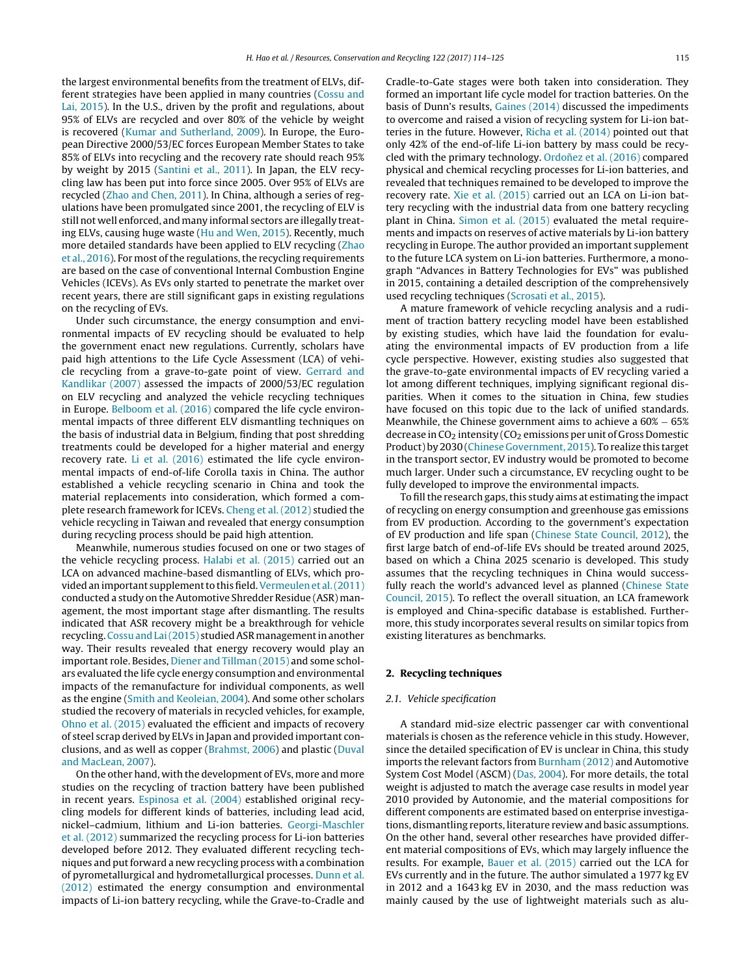the largest environmental benefits from the treatment of ELVs, different strategies have been applied in many countries [\(Cossu](#page-10-0) [and](#page-10-0) [Lai,](#page-10-0) [2015\).](#page-10-0) In the U.S., driven by the profit and regulations, about 95% of ELVs are recycled and over 80% of the vehicle by weight is recovered ([Kumar](#page-10-0) [and](#page-10-0) [Sutherland,](#page-10-0) [2009\).](#page-10-0) In Europe, the European Directive 2000/53/EC forces European Member States to take 85% of ELVs into recycling and the recovery rate should reach 95% by weight by 2015 ([Santini](#page-11-0) et [al.,](#page-11-0) [2011\).](#page-11-0) In Japan, the ELV recycling law has been put into force since 2005. Over 95% of ELVs are recycled ([Zhao](#page-11-0) [and](#page-11-0) [Chen,](#page-11-0) [2011\).](#page-11-0) In China, although a series of regulations have been promulgated since 2001, the recycling of ELV is still not well enforced, and many informal sectors are illegally treating ELVs, causing huge waste [\(Hu](#page-10-0) [and](#page-10-0) [Wen,](#page-10-0) [2015\).](#page-10-0) Recently, much more detailed standards have been applied to ELV recycling ([Zhao](#page-11-0) et [al.,](#page-11-0)  $2016$ ). For most of the regulations, the recycling requirements are based on the case of conventional Internal Combustion Engine Vehicles (ICEVs). As EVs only started to penetrate the market over recent years, there are still significant gaps in existing regulations on the recycling of EVs.

Under such circumstance, the energy consumption and environmental impacts of EV recycling should be evaluated to help the government enact new regulations. Currently, scholars have paid high attentions to the Life Cycle Assessment (LCA) of vehicle recycling from a grave-to-gate point of view. [Gerrard](#page-10-0) [and](#page-10-0) [Kandlikar](#page-10-0) [\(2007\)](#page-10-0) assessed the impacts of 2000/53/EC regulation on ELV recycling and analyzed the vehicle recycling techniques in Europe. [Belboom](#page-10-0) et [al.](#page-10-0) [\(2016\)](#page-10-0) compared the life cycle environmental impacts of three different ELV dismantling techniques on the basis of industrial data in Belgium, finding that post shredding treatments could be developed for a higher material and energy recovery rate. [Li](#page-11-0) et [al.](#page-11-0) [\(2016\)](#page-11-0) estimated the life cycle environmental impacts of end-of-life Corolla taxis in China. The author established a vehicle recycling scenario in China and took the material replacements into consideration, which formed a complete research framework for ICEVs. [Cheng](#page-10-0) et [al.](#page-10-0) [\(2012\)](#page-10-0) studied the vehicle recycling in Taiwan and revealed that energy consumption during recycling process should be paid high attention.

Meanwhile, numerous studies focused on one or two stages of the vehicle recycling process. [Halabi](#page-10-0) et [al.](#page-10-0) [\(2015\)](#page-10-0) carried out an LCA on advanced machine-based dismantling of ELVs, which provided an important supplement to this field. Vermeulen et al. (2011) conducted a study on the Automotive Shredder Residue (ASR) management, the most important stage after dismantling. The results indicated that ASR recovery might be a breakthrough for vehicle recycling. Cossu and Lai (2015) studied ASR management in another way. Their results revealed that energy recovery would play an important role. Besides, [Diener](#page-10-0) [and](#page-10-0) [Tillman](#page-10-0) [\(2015\)](#page-10-0) and some scholars evaluated the life cycle energy consumption and environmental impacts of the remanufacture for individual components, as well as the engine ([Smith](#page-11-0) [and](#page-11-0) [Keoleian,](#page-11-0) [2004\).](#page-11-0) And some other scholars studied the recovery of materials in recycled vehicles, for example, [Ohno](#page-11-0) et [al.](#page-11-0) [\(2015\)](#page-11-0) evaluated the efficient and impacts of recovery of steel scrap derived by ELVs in Japan and provided important conclusions, and as well as copper ([Brahmst,](#page-10-0) [2006\)](#page-10-0) and plastic [\(Duval](#page-10-0) [and](#page-10-0) [MacLean,](#page-10-0) [2007\).](#page-10-0)

On the other hand, with the development of EVs, more and more studies on the recycling of traction battery have been published in recent years. [Espinosa](#page-10-0) et [al.](#page-10-0) [\(2004\)](#page-10-0) established original recycling models for different kinds of batteries, including lead acid, nickel–cadmium, lithium and Li-ion batteries. [Georgi-Maschler](#page-10-0) et [al.](#page-10-0) [\(2012\)](#page-10-0) summarized the recycling process for Li-ion batteries developed before 2012. They evaluated different recycling techniques and put forward a new recycling process with a combination of pyrometallurgical and hydrometallurgical processes. [Dunn](#page-10-0) et [al.](#page-10-0) [\(2012\)](#page-10-0) estimated the energy consumption and environmental impacts of Li-ion battery recycling, while the Grave-to-Cradle and

Cradle-to-Gate stages were both taken into consideration. They formed an important life cycle model for traction batteries. On the basis of Dunn's results, [Gaines](#page-10-0) [\(2014\)](#page-10-0) discussed the impediments to overcome and raised a vision of recycling system for Li-ion batteries in the future. However, [Richa](#page-11-0) et [al.](#page-11-0) [\(2014\)](#page-11-0) pointed out that only 42% of the end-of-life Li-ion battery by mass could be recycled with the primary technology. Ordoñez et [al.](#page-11-0) [\(2016\)](#page-11-0) compared physical and chemical recycling processes for Li-ion batteries, and revealed that techniques remained to be developed to improve the recovery rate. [Xie](#page-11-0) et [al.](#page-11-0) [\(2015\)](#page-11-0) carried out an LCA on Li-ion battery recycling with the industrial data from one battery recycling plant in China. [Simon](#page-11-0) et [al.](#page-11-0) [\(2015\)](#page-11-0) evaluated the metal requirements and impacts on reserves of active materials by Li-ion battery recycling in Europe. The author provided an important supplement to the future LCA system on Li-ion batteries. Furthermore, a monograph "Advances in Battery Technologies for EVs" was published in 2015, containing a detailed description of the comprehensively used recycling techniques [\(Scrosati](#page-11-0) et [al.,](#page-11-0) [2015\).](#page-11-0)

A mature framework of vehicle recycling analysis and a rudiment of traction battery recycling model have been established by existing studies, which have laid the foundation for evaluating the environmental impacts of EV production from a life cycle perspective. However, existing studies also suggested that the grave-to-gate environmental impacts of EV recycling varied a lot among different techniques, implying significant regional disparities. When it comes to the situation in China, few studies have focused on this topic due to the lack of unified standards. Meanwhile, the Chinese government aims to achieve a 60% − 65% decrease in  $CO<sub>2</sub>$  intensity ( $CO<sub>2</sub>$  emissions per unit of Gross Domestic Product) by 2030 [\(Chinese](#page-10-0) [Government,](#page-10-0) [2015\).](#page-10-0) To realize this target in the transport sector, EV industry would be promoted to become much larger. Under such a circumstance, EV recycling ought to be fully developed to improve the environmental impacts.

To fill the research gaps, this study aims at estimating the impact of recycling on energy consumption and greenhouse gas emissions from EV production. According to the government's expectation of EV production and life span [\(Chinese](#page-10-0) [State](#page-10-0) [Council,](#page-10-0) [2012\),](#page-10-0) the first large batch of end-of-life EVs should be treated around 2025, based on which a China 2025 scenario is developed. This study assumes that the recycling techniques in China would success-fully reach the world's advanced level as planned ([Chinese](#page-10-0) [State](#page-10-0) [Council,](#page-10-0) [2015\).](#page-10-0) To reflect the overall situation, an LCA framework is employed and China-specific database is established. Furthermore, this study incorporates several results on similar topics from existing literatures as benchmarks.

## **2. Recycling techniques**

## 2.1. Vehicle specification

A standard mid-size electric passenger car with conventional materials is chosen as the reference vehicle in this study. However, since the detailed specification of EV is unclear in China, this study imports the relevant factors from [Burnham](#page-10-0) [\(2012\)](#page-10-0) and Automotive System Cost Model (ASCM) ([Das,](#page-10-0) [2004\).](#page-10-0) For more details, the total weight is adjusted to match the average case results in model year 2010 provided by Autonomie, and the material compositions for different components are estimated based on enterprise investigations, dismantling reports, literature review and basic assumptions. On the other hand, several other researches have provided different material compositions of EVs, which may largely influence the results. For example, [Bauer](#page-10-0) et [al.](#page-10-0) [\(2015\)](#page-10-0) carried out the LCA for EVs currently and in the future. The author simulated a 1977 kg EV in 2012 and a 1643 kg EV in 2030, and the mass reduction was mainly caused by the use of lightweight materials such as alu-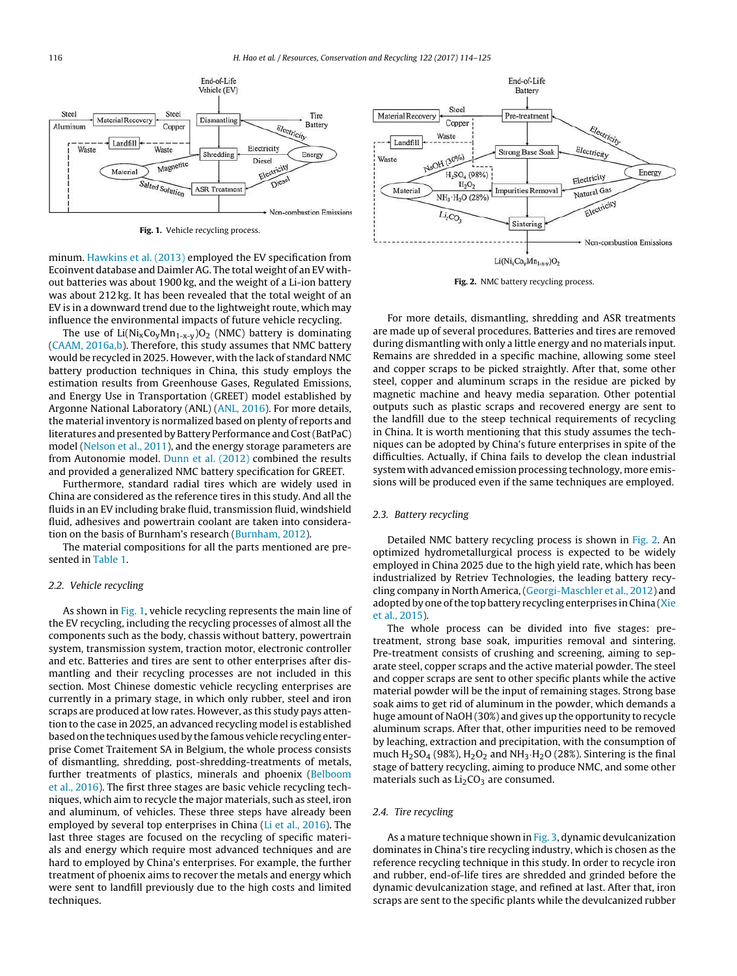

**Fig. 1.** Vehicle recycling process.

minum. [Hawkins](#page-10-0) et [al.](#page-10-0) [\(2013\)](#page-10-0) employed the EV specification from Ecoinvent database and Daimler AG. The total weight of an EV without batteries was about 1900 kg, and the weight of a Li-ion battery was about 212 kg. It has been revealed that the total weight of an EV is in a downward trend due to the lightweight route, which may influence the environmental impacts of future vehicle recycling.

The use of  $Li(Ni_XCo_yMn_{1-x-y})O_2$  (NMC) battery is dominating ([CAAM,](#page-10-0) [2016a,b\).](#page-10-0) Therefore, this study assumes that NMC battery would be recycled in 2025. However, with the lack of standard NMC battery production techniques in China, this study employs the estimation results from Greenhouse Gases, Regulated Emissions, and Energy Use in Transportation (GREET) model established by Argonne National Laboratory (ANL) ([ANL,](#page-10-0) [2016\).](#page-10-0) For more details, the material inventory is normalized based on plenty of reports and literatures and presented by Battery Performance and Cost(BatPaC) model [\(Nelson](#page-11-0) et [al.,](#page-11-0) [2011\),](#page-11-0) and the energy storage parameters are from Autonomie model. [Dunn](#page-10-0) et [al.](#page-10-0) [\(2012\)](#page-10-0) combined the results and provided a generalized NMC battery specification for GREET.

Furthermore, standard radial tires which are widely used in China are considered as the reference tires in this study. And all the fluids in an EV including brake fluid, transmission fluid, windshield fluid, adhesives and powertrain coolant are taken into consideration on the basis of Burnham's research ([Burnham,](#page-10-0) [2012\).](#page-10-0)

The material compositions for all the parts mentioned are presented in [Table](#page-3-0) 1.

## 2.2. Vehicle recycling

As shown in Fig. 1, vehicle recycling represents the main line of the EV recycling, including the recycling processes of almost all the components such as the body, chassis without battery, powertrain system, transmission system, traction motor, electronic controller and etc. Batteries and tires are sent to other enterprises after dismantling and their recycling processes are not included in this section. Most Chinese domestic vehicle recycling enterprises are currently in a primary stage, in which only rubber, steel and iron scraps are produced at low rates. However, as this study pays attention to the case in 2025, an advanced recycling model is established based on the techniques used by the famous vehicle recycling enterprise Comet Traitement SA in Belgium, the whole process consists of dismantling, shredding, post-shredding-treatments of metals, further treatments of plastics, minerals and phoenix ([Belboom](#page-10-0) et [al.,](#page-10-0) [2016\).](#page-10-0) The first three stages are basic vehicle recycling techniques, which aim to recycle the major materials, such as steel, iron and aluminum, of vehicles. These three steps have already been employed by several top enterprises in China [\(Li](#page-11-0) et [al.,](#page-11-0) [2016\).](#page-11-0) The last three stages are focused on the recycling of specific materials and energy which require most advanced techniques and are hard to employed by China's enterprises. For example, the further treatment of phoenix aims to recover the metals and energy which were sent to landfill previously due to the high costs and limited techniques.



**Fig. 2.** NMC battery recycling process.

For more details, dismantling, shredding and ASR treatments are made up of several procedures. Batteries and tires are removed during dismantling with only a little energy and no materials input. Remains are shredded in a specific machine, allowing some steel and copper scraps to be picked straightly. After that, some other steel, copper and aluminum scraps in the residue are picked by magnetic machine and heavy media separation. Other potential outputs such as plastic scraps and recovered energy are sent to the landfill due to the steep technical requirements of recycling in China. It is worth mentioning that this study assumes the techniques can be adopted by China's future enterprises in spite of the difficulties. Actually, if China fails to develop the clean industrial system with advanced emission processing technology, more emissions will be produced even if the same techniques are employed.

#### 2.3. Battery recycling

Detailed NMC battery recycling process is shown in Fig. 2. An optimized hydrometallurgical process is expected to be widely employed in China 2025 due to the high yield rate, which has been industrialized by Retriev Technologies, the leading battery recycling company in North America,([Georgi-Maschler](#page-10-0) et [al.,](#page-10-0) [2012\)](#page-10-0) and adopted by one of the top battery recycling enterprises in China ([Xie](#page-11-0) et [al.,](#page-11-0) [2015\).](#page-11-0)

The whole process can be divided into five stages: pretreatment, strong base soak, impurities removal and sintering. Pre-treatment consists of crushing and screening, aiming to separate steel, copper scraps and the active material powder. The steel and copper scraps are sent to other specific plants while the active material powder will be the input of remaining stages. Strong base soak aims to get rid of aluminum in the powder, which demands a huge amount of NaOH (30%) and gives up the opportunity to recycle aluminum scraps. After that, other impurities need to be removed by leaching, extraction and precipitation, with the consumption of much  $H_2$ SO<sub>4</sub> (98%),  $H_2O_2$  and NH<sub>3</sub>  $H_2O$  (28%). Sintering is the final stage of battery recycling, aiming to produce NMC, and some other materials such as  $Li<sub>2</sub>CO<sub>3</sub>$  are consumed.

## 2.4. Tire recycling

As a mature technique shown in [Fig.](#page-3-0) 3, dynamic devulcanization dominates in China's tire recycling industry, which is chosen as the reference recycling technique in this study. In order to recycle iron and rubber, end-of-life tires are shredded and grinded before the dynamic devulcanization stage, and refined at last. After that, iron scraps are sent to the specific plants while the devulcanized rubber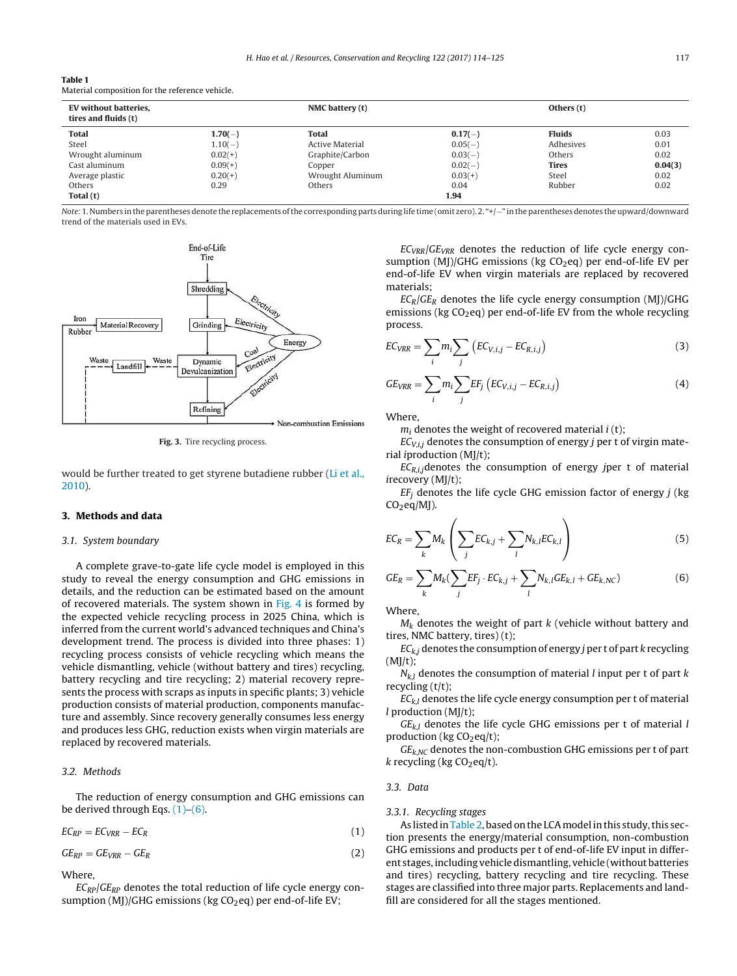<span id="page-3-0"></span>

| Table 1 |                                                 |  |
|---------|-------------------------------------------------|--|
|         | Material composition for the reference vehicle. |  |

| EV without batteries,<br>tires and fluids (t) |           | NMC battery (t)  |           | Others (t)    |         |
|-----------------------------------------------|-----------|------------------|-----------|---------------|---------|
| <b>Total</b>                                  | $1.70(-)$ | <b>Total</b>     | $0.17(-)$ | <b>Fluids</b> | 0.03    |
| Steel                                         | $1.10(-)$ | Active Material  | $0.05(-)$ | Adhesives     | 0.01    |
| Wrought aluminum                              | $0.02(+)$ | Graphite/Carbon  | $0.03(-)$ | Others        | 0.02    |
| Cast aluminum                                 | $0.09(+)$ | Copper           | $0.02(-)$ | <b>Tires</b>  | 0.04(3) |
| Average plastic                               | $0.20(+)$ | Wrought Aluminum | $0.03(+)$ | Steel         | 0.02    |
| Others                                        | 0.29      | Others           | 0.04      | Rubber        | 0.02    |
| Total (t)                                     |           |                  | 1.94      |               |         |

Note: 1. Numbers in the parentheses denote the replacements of the corresponding parts during life time (omit zero). 2. "+/-" in the parentheses denotes the upward/downward trend of the materials used in EVs.



**Fig. 3.** Tire recycling process.

would be further treated to get styrene butadiene rubber [\(Li](#page-10-0) et [al.,](#page-10-0) [2010\).](#page-10-0)

## **3. Methods and data**

#### 3.1. System boundary

A complete grave-to-gate life cycle model is employed in this study to reveal the energy consumption and GHG emissions in details, and the reduction can be estimated based on the amount of recovered materials. The system shown in [Fig.](#page-4-0) 4 is formed by the expected vehicle recycling process in 2025 China, which is inferred from the current world's advanced techniques and China's development trend. The process is divided into three phases: 1) recycling process consists of vehicle recycling which means the vehicle dismantling, vehicle (without battery and tires) recycling, battery recycling and tire recycling; 2) material recovery represents the process with scraps as inputs in specific plants; 3) vehicle production consists of material production, components manufacture and assembly. Since recovery generally consumes less energy and produces less GHG, reduction exists when virgin materials are replaced by recovered materials.

## 3.2. Methods

The reduction of energy consumption and GHG emissions can be derived through Eqs.  $(1)-(6)$ .

$$
EC_{RP} = EC_{VRR} - EC_{R}
$$
 (1)

$$
GE_{RP} = GE_{VRR} - GE_R \tag{2}
$$

## Where,

 $EC_{RP}/GE_{RP}$  denotes the total reduction of life cycle energy consumption (MJ)/GHG emissions (kg  $CO<sub>2</sub>$ eq) per end-of-life EV;

 $EC_{VRR}/GE_{VRR}$  denotes the reduction of life cycle energy consumption (MJ)/GHG emissions (kg  $CO<sub>2</sub>$ eq) per end-of-life EV per end-of-life EV when virgin materials are replaced by recovered materials;

 $EC_R/GE_R$  denotes the life cycle energy consumption (MI)/GHG emissions (kg  $CO<sub>2</sub>$ eq) per end-of-life EV from the whole recycling process.

$$
EC_{VRR} = \sum_{i} m_i \sum_{j} \left( EC_{V,i,j} - EC_{R,i,j} \right) \tag{3}
$$

$$
GE_{VRR} = \sum_{i} m_{i} \sum_{j} EF_{j} \left( EC_{V,i,j} - EC_{R,i,j}\right)
$$
 (4)

Where,

 $m_i$  denotes the weight of recovered material  $i$  (t);

 $EC_{V,i,j}$  denotes the consumption of energy j per t of virgin material iproduction (MJ/t);

 $EC_{R,i}$ , denotes the consumption of energy jper t of material irecovery (MJ/t);

 $EF_i$  denotes the life cycle GHG emission factor of energy  $j$  (kg  $CO<sub>2</sub>eq/MJ$ ).

$$
EC_R = \sum_k M_k \left( \sum_j EC_{k,j} + \sum_l N_{k,l} EC_{k,l} \right) \tag{5}
$$

$$
GE_R = \sum_k M_k(\sum_j EF_j \cdot EC_{k,j} + \sum_l N_{k,l}GE_{k,l} + GE_{k,NC})
$$
(6)

Where,

 $M_k$  denotes the weight of part k (vehicle without battery and tires, NMC battery, tires) (t);

 $EC_{ki}$  denotes the consumption of energy *j* per t of part k recycling  $(MJ/t);$ 

 $N_{kl}$  denotes the consumption of material *l* input per t of part *k* recycling (t/t);

 $EC_{k,l}$  denotes the life cycle energy consumption per t of material  $l$  production (MJ/t);

 $GE_{k,l}$  denotes the life cycle GHG emissions per t of material l production ( $kg CO<sub>2</sub>eq/t$ );

 $GE_{k,NC}$  denotes the non-combustion GHG emissions per t of part k recycling (kg  $CO<sub>2</sub>eq/t$ ).

## 3.3. Data

#### 3.3.1. Recycling stages

As listed in [Table](#page-4-0) 2, based on the LCA model in this study, this section presents the energy/material consumption, non-combustion GHG emissions and products per t of end-of-life EV input in different stages, including vehicle dismantling, vehicle (without batteries and tires) recycling, battery recycling and tire recycling. These stages are classified into three major parts. Replacements and landfill are considered for all the stages mentioned.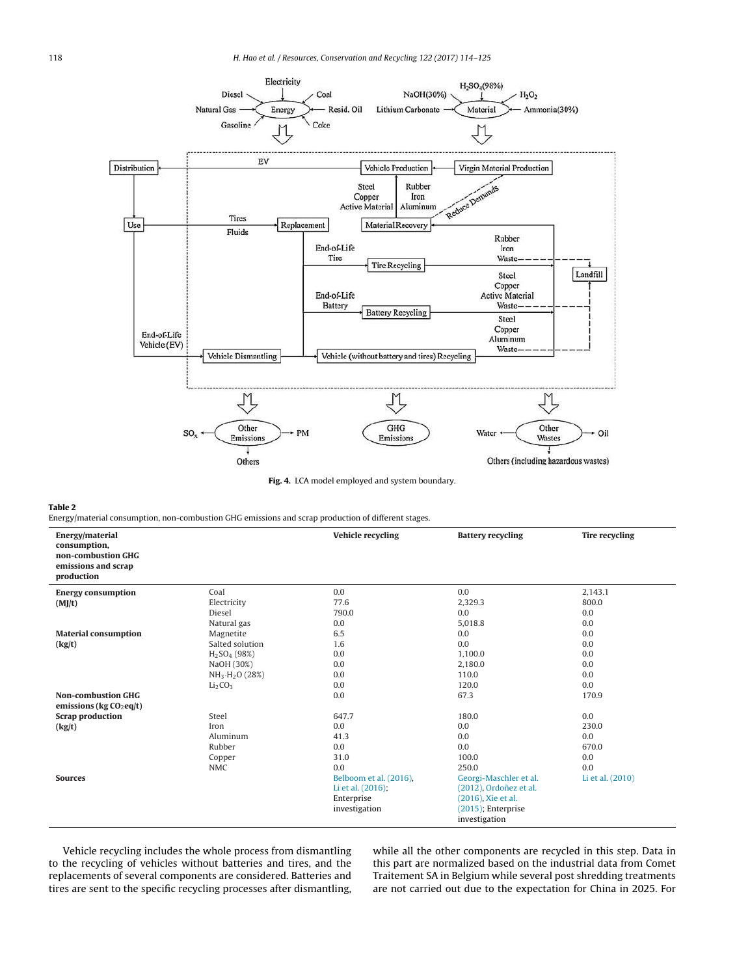<span id="page-4-0"></span>

**Fig. 4.** LCA model employed and system boundary.

#### **Table 2**

Energy/material consumption, non-combustion GHG emissions and scrap production of different stages.

| Energy/material<br>consumption,                          |                                 | Vehicle recycling      | <b>Battery recycling</b> | <b>Tire recycling</b> |
|----------------------------------------------------------|---------------------------------|------------------------|--------------------------|-----------------------|
| non-combustion GHG<br>emissions and scrap<br>production  |                                 |                        |                          |                       |
| <b>Energy consumption</b>                                | Coal                            | 0.0                    | 0.0                      | 2.143.1               |
| (MJ/t)                                                   | Electricity                     | 77.6                   | 2,329.3                  | 800.0                 |
|                                                          | Diesel                          | 790.0                  | 0.0                      | 0.0                   |
|                                                          | Natural gas                     | 0.0                    | 5,018.8                  | 0.0                   |
| <b>Material consumption</b>                              | Magnetite                       | 6.5                    | 0.0                      | 0.0                   |
| (kg/t)                                                   | Salted solution                 | 1.6                    | 0.0                      | 0.0                   |
|                                                          | $H2SO4$ (98%)                   | 0.0                    | 1.100.0                  | 0.0                   |
|                                                          | NaOH (30%)                      | 0.0                    | 2.180.0                  | 0.0                   |
|                                                          | $NH_3·H_2O(28%)$                | 0.0                    | 110.0                    | 0.0                   |
|                                                          | Li <sub>2</sub> CO <sub>3</sub> | 0.0                    | 120.0                    | 0.0                   |
| <b>Non-combustion GHG</b><br>emissions ( $kg CO2 eq/t$ ) |                                 | 0.0                    | 67.3                     | 170.9                 |
| <b>Scrap production</b>                                  | Steel                           | 647.7                  | 180.0                    | 0.0                   |
| (kg/t)                                                   | Iron                            | 0.0                    | 0.0                      | 230.0                 |
|                                                          | Aluminum                        | 41.3                   | 0.0                      | 0.0                   |
|                                                          | Rubber                          | 0.0                    | 0.0                      | 670.0                 |
|                                                          | Copper                          | 31.0                   | 100.0                    | 0.0                   |
|                                                          | <b>NMC</b>                      | 0.0                    | 250.0                    | 0.0                   |
| <b>Sources</b>                                           |                                 | Belboom et al. (2016). | Georgi-Maschler et al.   | Li et al. (2010)      |
|                                                          |                                 | Li et al. (2016);      | (2012), Ordoñez et al.   |                       |
|                                                          |                                 | Enterprise             | (2016), Xie et al.       |                       |
|                                                          |                                 | investigation          | $(2015)$ ; Enterprise    |                       |
|                                                          |                                 |                        | investigation            |                       |

Vehicle recycling includes the whole process from dismantling to the recycling of vehicles without batteries and tires, and the replacements of several components are considered. Batteries and tires are sent to the specific recycling processes after dismantling,

while all the other components are recycled in this step. Data in this part are normalized based on the industrial data from Comet Traitement SA in Belgium while several post shredding treatments are not carried out due to the expectation for China in 2025. For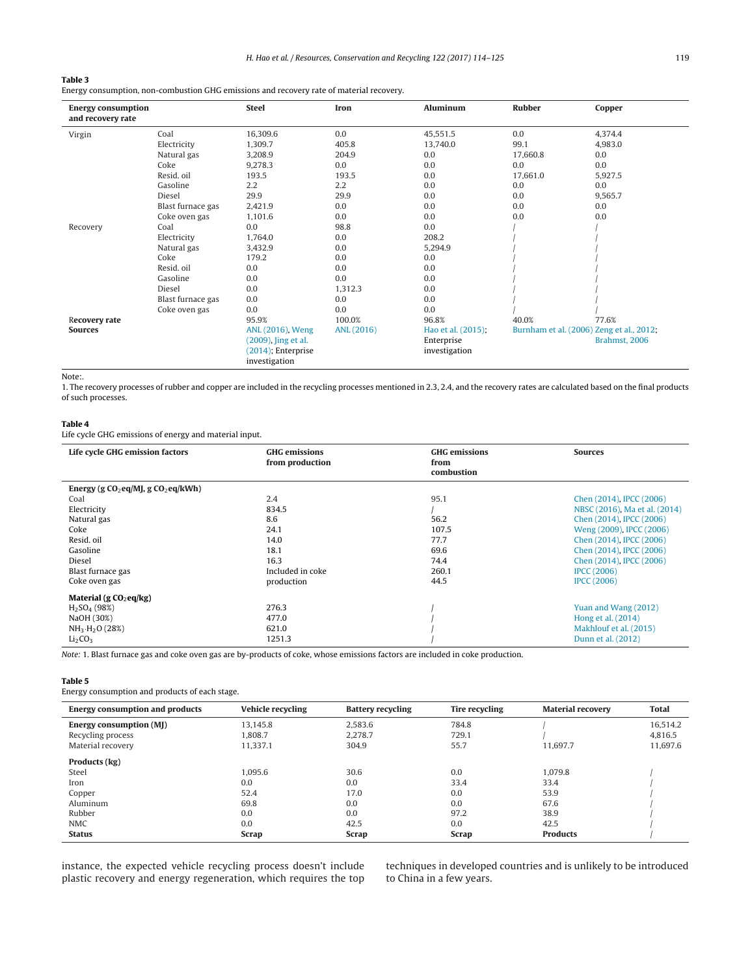## <span id="page-5-0"></span>**Table 3**

Energy consumption, non-combustion GHG emissions and recovery rate of material recovery.

| <b>Energy consumption</b><br>and recovery rate |                                                      | <b>Steel</b>          | Iron                                     | <b>Aluminum</b> | <b>Rubber</b> | Copper        |
|------------------------------------------------|------------------------------------------------------|-----------------------|------------------------------------------|-----------------|---------------|---------------|
| Virgin                                         | Coal                                                 | 16,309.6              | 0.0                                      | 45,551.5        | 0.0           | 4,374.4       |
|                                                | Electricity                                          | 1,309.7               | 405.8                                    | 13,740.0        | 99.1          | 4,983.0       |
|                                                | Natural gas                                          | 3,208.9               | 204.9                                    | 0.0             | 17,660.8      | 0.0           |
|                                                | Coke                                                 | 9,278.3               | 0.0                                      | 0.0             | 0.0           | 0.0           |
|                                                | Resid. oil                                           | 193.5                 | 193.5                                    | 0.0             | 17,661.0      | 5,927.5       |
|                                                | Gasoline                                             | 2.2                   | 2.2                                      | 0.0             | 0.0           | 0.0           |
|                                                | Diesel                                               | 29.9                  | 29.9                                     | 0.0             | 0.0           | 9,565.7       |
|                                                | Blast furnace gas                                    | 2,421.9               | 0.0                                      | 0.0             | 0.0           | 0.0           |
|                                                | Coke oven gas                                        | 1,101.6               | 0.0                                      | 0.0             | 0.0           | 0.0           |
| Recovery                                       | Coal                                                 | 0.0                   | 98.8                                     | 0.0             |               |               |
|                                                | Electricity                                          | 1,764.0               | 0.0                                      | 208.2           |               |               |
|                                                | Natural gas                                          | 3,432.9               | 0.0                                      | 5,294.9         |               |               |
|                                                | Coke                                                 | 179.2                 | 0.0                                      | 0.0             |               |               |
|                                                | Resid. oil                                           | 0.0                   | 0.0                                      | 0.0             |               |               |
|                                                | Gasoline                                             | 0.0                   | 0.0                                      | 0.0             |               |               |
|                                                | Diesel                                               | 0.0                   | 1,312.3                                  | 0.0             |               |               |
|                                                | Blast furnace gas                                    | 0.0                   | 0.0                                      | 0.0             |               |               |
|                                                | Coke oven gas                                        | 0.0                   | 0.0                                      | 0.0             |               |               |
| Recovery rate                                  |                                                      | 95.9%                 | 100.0%                                   | 96.8%           | 40.0%         | 77.6%         |
| <b>Sources</b>                                 | ANL (2016)<br>ANL (2016), Weng<br>Hao et al. (2015); |                       | Burnham et al. (2006) Zeng et al., 2012; |                 |               |               |
|                                                |                                                      | (2009), Jing et al.   |                                          | Enterprise      |               | Brahmst, 2006 |
|                                                |                                                      | $(2014)$ ; Enterprise |                                          | investigation   |               |               |
|                                                |                                                      | investigation         |                                          |                 |               |               |

Note:.

1. The recovery processes of rubber and copper are included in the recycling processes mentioned in 2.3, 2.4, and the recovery rates are calculated based on the final products of such processes.

### **Table 4**

Life cycle GHG emissions of energy and material input.

| Life cycle GHG emission factors        | <b>GHG</b> emissions<br>from production | <b>GHG</b> emissions<br>from<br>combustion | <b>Sources</b>                 |
|----------------------------------------|-----------------------------------------|--------------------------------------------|--------------------------------|
| Energy (g $CO2$ eq/MJ, g $CO2$ eq/kWh) |                                         |                                            |                                |
| Coal                                   | 2.4                                     | 95.1                                       | Chen (2014), IPCC (2006)       |
| Electricity                            | 834.5                                   |                                            | NBSC (2016). Ma et al. (2014). |
| Natural gas                            | 8.6                                     | 56.2                                       | Chen (2014), IPCC (2006)       |
| Coke                                   | 24.1                                    | 107.5                                      | Weng (2009), IPCC (2006)       |
| Resid. oil                             | 14.0                                    | 77.7                                       | Chen (2014), IPCC (2006)       |
| Gasoline                               | 18.1                                    | 69.6                                       | Chen (2014), IPCC (2006)       |
| Diesel                                 | 16.3                                    | 74.4                                       | Chen (2014), IPCC (2006)       |
| Blast furnace gas                      | Included in coke                        | 260.1                                      | <b>IPCC (2006)</b>             |
| Coke oven gas                          | production                              | 44.5                                       | <b>IPCC (2006)</b>             |
| Material (g $CO2$ eq/kg)               |                                         |                                            |                                |
| $H2SO4$ (98%)                          | 276.3                                   |                                            | Yuan and Wang (2012)           |
| NaOH (30%)                             | 477.0                                   |                                            | Hong et al. (2014)             |
| $NH_3·H_2O(28%)$                       | 621.0                                   |                                            | Makhlouf et al. (2015)         |
| Li <sub>2</sub> CO <sub>3</sub>        | 1251.3                                  |                                            | Dunn et al. (2012)             |

Note: 1. Blast furnace gas and coke oven gas are by-products of coke, whose emissions factors are included in coke production.

## **Table 5**

Energy consumption and products of each stage.

| <b>Energy consumption and products</b> | <b>Vehicle recycling</b> | <b>Battery recycling</b> | Tire recycling | <b>Material recovery</b> | <b>Total</b> |
|----------------------------------------|--------------------------|--------------------------|----------------|--------------------------|--------------|
| Energy consumption (MJ)                | 13.145.8                 | 2,583.6                  | 784.8          |                          | 16,514.2     |
| Recycling process                      | 1.808.7                  | 2.278.7                  | 729.1          |                          | 4,816.5      |
| Material recovery                      | 11.337.1                 | 304.9                    | 55.7           | 11.697.7                 | 11,697.6     |
| Products (kg)                          |                          |                          |                |                          |              |
| Steel                                  | 1.095.6                  | 30.6                     | 0.0            | 1.079.8                  |              |
| Iron                                   | 0.0                      | 0.0                      | 33.4           | 33.4                     |              |
| Copper                                 | 52.4                     | 17.0                     | 0.0            | 53.9                     |              |
| Aluminum                               | 69.8                     | 0.0                      | 0.0            | 67.6                     |              |
| Rubber                                 | 0.0                      | 0.0                      | 97.2           | 38.9                     |              |
| <b>NMC</b>                             | 0.0                      | 42.5                     | 0.0            | 42.5                     |              |
| <b>Status</b>                          | <b>Scrap</b>             | <b>Scrap</b>             | Scrap          | <b>Products</b>          |              |

instance, the expected vehicle recycling process doesn't include plastic recovery and energy regeneration, which requires the top techniques in developed countries and is unlikely to be introduced to China in a few years.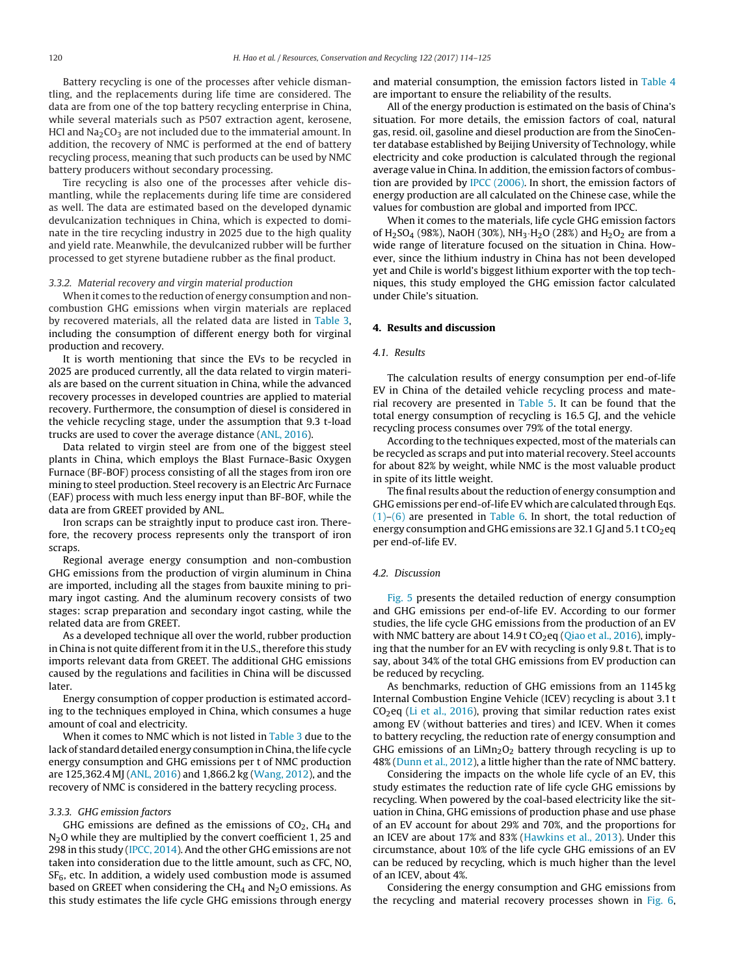Battery recycling is one of the processes after vehicle dismantling, and the replacements during life time are considered. The data are from one of the top battery recycling enterprise in China, while several materials such as P507 extraction agent, kerosene, HCl and  $Na<sub>2</sub>CO<sub>3</sub>$  are not included due to the immaterial amount. In addition, the recovery of NMC is performed at the end of battery recycling process, meaning that such products can be used by NMC battery producers without secondary processing.

Tire recycling is also one of the processes after vehicle dismantling, while the replacements during life time are considered as well. The data are estimated based on the developed dynamic devulcanization techniques in China, which is expected to dominate in the tire recycling industry in 2025 due to the high quality and yield rate. Meanwhile, the devulcanized rubber will be further processed to get styrene butadiene rubber as the final product.

## 3.3.2. Material recovery and virgin material production

When it comes to the reduction of energy consumption and noncombustion GHG emissions when virgin materials are replaced by recovered materials, all the related data are listed in [Table](#page-5-0) 3, including the consumption of different energy both for virginal production and recovery.

It is worth mentioning that since the EVs to be recycled in 2025 are produced currently, all the data related to virgin materials are based on the current situation in China, while the advanced recovery processes in developed countries are applied to material recovery. Furthermore, the consumption of diesel is considered in the vehicle recycling stage, under the assumption that 9.3 t-load trucks are used to cover the average distance [\(ANL,](#page-10-0) [2016\).](#page-10-0)

Data related to virgin steel are from one of the biggest steel plants in China, which employs the Blast Furnace-Basic Oxygen Furnace (BF-BOF) process consisting of all the stages from iron ore mining to steel production. Steel recovery is an Electric Arc Furnace (EAF) process with much less energy input than BF-BOF, while the data are from GREET provided by ANL.

Iron scraps can be straightly input to produce cast iron. Therefore, the recovery process represents only the transport of iron scraps.

Regional average energy consumption and non-combustion GHG emissions from the production of virgin aluminum in China are imported, including all the stages from bauxite mining to primary ingot casting. And the aluminum recovery consists of two stages: scrap preparation and secondary ingot casting, while the related data are from GREET.

As a developed technique all over the world, rubber production in China is not quite different from it in the U.S., therefore this study imports relevant data from GREET. The additional GHG emissions caused by the regulations and facilities in China will be discussed later.

Energy consumption of copper production is estimated according to the techniques employed in China, which consumes a huge amount of coal and electricity.

When it comes to NMC which is not listed in [Table](#page-5-0) 3 due to the lack of standard detailed energy consumption in China, the life cycle energy consumption and GHG emissions per t of NMC production are 125,362.4 MJ ([ANL,](#page-10-0) [2016\)](#page-10-0) and 1,866.2 kg ([Wang,](#page-11-0) [2012\),](#page-11-0) and the recovery of NMC is considered in the battery recycling process.

#### 3.3.3. GHG emission factors

GHG emissions are defined as the emissions of  $CO<sub>2</sub>$ , CH<sub>4</sub> and N<sub>2</sub>O while they are multiplied by the convert coefficient 1, 25 and 298 in this study ([IPCC,](#page-10-0) [2014\).](#page-10-0) And the other GHG emissions are not taken into consideration due to the little amount, such as CFC, NO,  $SF<sub>6</sub>$ , etc. In addition, a widely used combustion mode is assumed based on GREET when considering the CH<sub>4</sub> and  $N_2O$  emissions. As this study estimates the life cycle GHG emissions through energy

and material consumption, the emission factors listed in [Table](#page-5-0) 4 are important to ensure the reliability of the results.

All of the energy production is estimated on the basis of China's situation. For more details, the emission factors of coal, natural gas, resid. oil, gasoline and diesel production are from the SinoCenter database established by Beijing University of Technology, while electricity and coke production is calculated through the regional average value in China. In addition, the emission factors of combustion are provided by [IPCC](#page-10-0) [\(2006\).](#page-10-0) In short, the emission factors of energy production are all calculated on the Chinese case, while the values for combustion are global and imported from IPCC.

When it comes to the materials, life cycle GHG emission factors of H<sub>2</sub>SO<sub>4</sub> (98%), NaOH (30%), NH<sub>3</sub>·H<sub>2</sub>O (28%) and H<sub>2</sub>O<sub>2</sub> are from a wide range of literature focused on the situation in China. However, since the lithium industry in China has not been developed yet and Chile is world's biggest lithium exporter with the top techniques, this study employed the GHG emission factor calculated under Chile's situation.

## **4. Results and discussion**

#### 4.1. Results

The calculation results of energy consumption per end-of-life EV in China of the detailed vehicle recycling process and material recovery are presented in [Table](#page-5-0) 5. It can be found that the total energy consumption of recycling is 16.5 GJ, and the vehicle recycling process consumes over 79% of the total energy.

According to the techniques expected, most of the materials can be recycled as scraps and put into material recovery. Steel accounts for about 82% by weight, while NMC is the most valuable product in spite of its little weight.

The final results about the reduction of energy consumption and GHG emissions per end-of-life EV which are calculated through Eqs.  $(1)$ – $(6)$  are presented in [Table](#page-7-0) 6. In short, the total reduction of energy consumption and GHG emissions are 32.1 GJ and  $5.1$  t CO<sub>2</sub>eq per end-of-life EV.

#### 4.2. Discussion

[Fig.](#page-7-0) 5 presents the detailed reduction of energy consumption and GHG emissions per end-of-life EV. According to our former studies, the life cycle GHG emissions from the production of an EV with NMC battery are about  $14.9$  t CO<sub>2</sub>eq [\(Qiao](#page-11-0) et [al.,](#page-11-0) [2016\),](#page-11-0) implying that the number for an EV with recycling is only 9.8 t. That is to say, about 34% of the total GHG emissions from EV production can be reduced by recycling.

As benchmarks, reduction of GHG emissions from an 1145 kg Internal Combustion Engine Vehicle (ICEV) recycling is about 3.1 t  $CO<sub>2</sub>$ eq ([Li](#page-11-0) et [al.,](#page-11-0) [2016\),](#page-11-0) proving that similar reduction rates exist among EV (without batteries and tires) and ICEV. When it comes to battery recycling, the reduction rate of energy consumption and GHG emissions of an  $LiMn<sub>2</sub>O<sub>2</sub>$  battery through recycling is up to 48% ([Dunn](#page-10-0) et [al.,](#page-10-0) [2012\),](#page-10-0) a little higher than the rate of NMC battery.

Considering the impacts on the whole life cycle of an EV, this study estimates the reduction rate of life cycle GHG emissions by recycling. When powered by the coal-based electricity like the situation in China, GHG emissions of production phase and use phase of an EV account for about 29% and 70%, and the proportions for an ICEV are about 17% and 83% ([Hawkins](#page-10-0) et [al.,](#page-10-0) [2013\).](#page-10-0) Under this circumstance, about 10% of the life cycle GHG emissions of an EV can be reduced by recycling, which is much higher than the level of an ICEV, about 4%.

Considering the energy consumption and GHG emissions from the recycling and material recovery processes shown in [Fig.](#page-8-0) 6,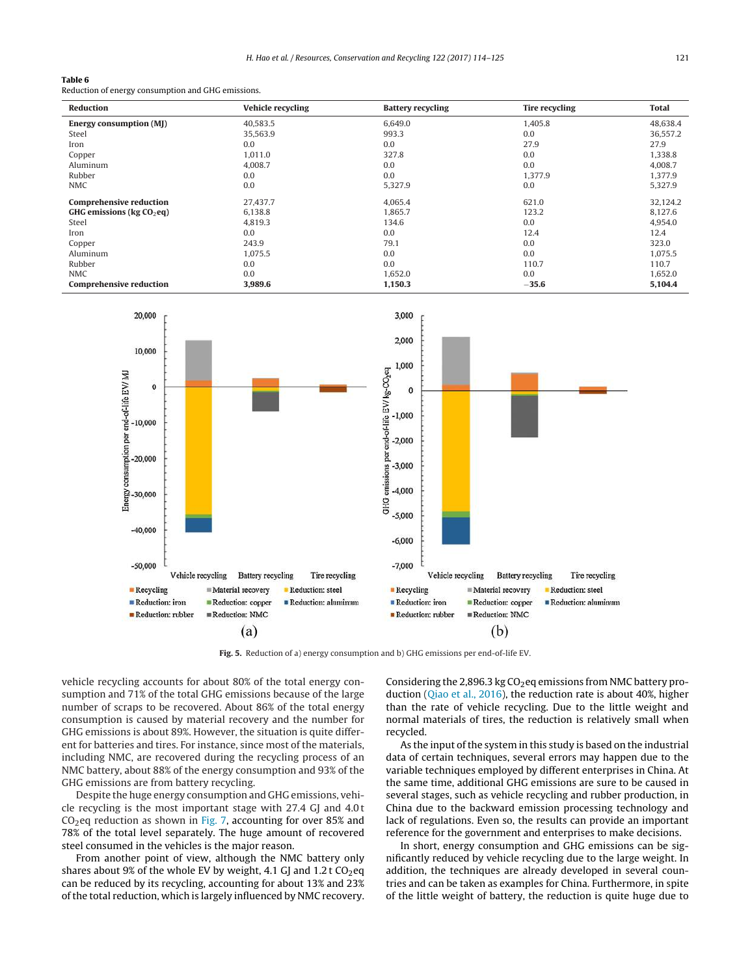## <span id="page-7-0"></span>**Table 6**

Reduction of energy consumption and GHG emissions.

| <b>Reduction</b>               | <b>Vehicle recycling</b> | <b>Battery recycling</b> | <b>Tire recycling</b> | <b>Total</b> |
|--------------------------------|--------------------------|--------------------------|-----------------------|--------------|
| <b>Energy consumption (MJ)</b> | 40,583.5                 | 6,649.0                  | 1,405.8               | 48,638.4     |
| Steel                          | 35,563.9                 | 993.3                    | 0.0                   | 36,557.2     |
| Iron                           | 0.0                      | 0.0                      | 27.9                  | 27.9         |
| Copper                         | 1,011.0                  | 327.8                    | 0.0                   | 1,338.8      |
| Aluminum                       | 4,008.7                  | 0.0                      | 0.0                   | 4.008.7      |
| Rubber                         | 0.0                      | 0.0                      | 1,377.9               | 1,377.9      |
| <b>NMC</b>                     | 0.0                      | 5,327.9                  | 0.0                   | 5,327.9      |
| <b>Comprehensive reduction</b> | 27,437.7                 | 4,065.4                  | 621.0                 | 32,124.2     |
| GHG emissions ( $kg CO2$ eq)   | 6,138.8                  | 1.865.7                  | 123.2                 | 8,127.6      |
| Steel                          | 4,819.3                  | 134.6                    | 0.0                   | 4,954.0      |
| Iron                           | 0.0                      | 0.0                      | 12.4                  | 12.4         |
| Copper                         | 243.9                    | 79.1                     | 0.0                   | 323.0        |
| Aluminum                       | 1.075.5                  | 0.0                      | 0.0                   | 1,075.5      |
| Rubber                         | 0.0                      | 0.0                      | 110.7                 | 110.7        |
| <b>NMC</b>                     | 0.0                      | 1,652.0                  | 0.0                   | 1,652.0      |
| <b>Comprehensive reduction</b> | 3,989.6                  | 1,150.3                  | $-35.6$               | 5,104.4      |



**Fig. 5.** Reduction of a) energy consumption and b) GHG emissions per end-of-life EV.

vehicle recycling accounts for about 80% of the total energy consumption and 71% of the total GHG emissions because of the large number of scraps to be recovered. About 86% of the total energy consumption is caused by material recovery and the number for GHG emissions is about 89%. However, the situation is quite different for batteries and tires. For instance, since most of the materials, including NMC, are recovered during the recycling process of an NMC battery, about 88% of the energy consumption and 93% of the GHG emissions are from battery recycling.

Despite the huge energy consumption and GHG emissions, vehicle recycling is the most important stage with 27.4 GJ and 4.0t  $CO<sub>2</sub>$ eq reduction as shown in [Fig.](#page-8-0) 7, accounting for over 85% and 78% of the total level separately. The huge amount of recovered steel consumed in the vehicles is the major reason.

From another point of view, although the NMC battery only shares about 9% of the whole EV by weight, 4.1 GJ and 1.2 t  $CO<sub>2</sub>$ eq can be reduced by its recycling, accounting for about 13% and 23% of the total reduction, which is largely influenced by NMC recovery. Considering the 2,896.3 kg  $CO<sub>2</sub>$ eq emissions from NMC battery production ([Qiao](#page-11-0) et [al.,](#page-11-0) [2016\),](#page-11-0) the reduction rate is about 40%, higher than the rate of vehicle recycling. Due to the little weight and normal materials of tires, the reduction is relatively small when recycled.

As the input of the system in this study is based on the industrial data of certain techniques, several errors may happen due to the variable techniques employed by different enterprises in China. At the same time, additional GHG emissions are sure to be caused in several stages, such as vehicle recycling and rubber production, in China due to the backward emission processing technology and lack of regulations. Even so, the results can provide an important reference for the government and enterprises to make decisions.

In short, energy consumption and GHG emissions can be significantly reduced by vehicle recycling due to the large weight. In addition, the techniques are already developed in several countries and can be taken as examples for China. Furthermore, in spite of the little weight of battery, the reduction is quite huge due to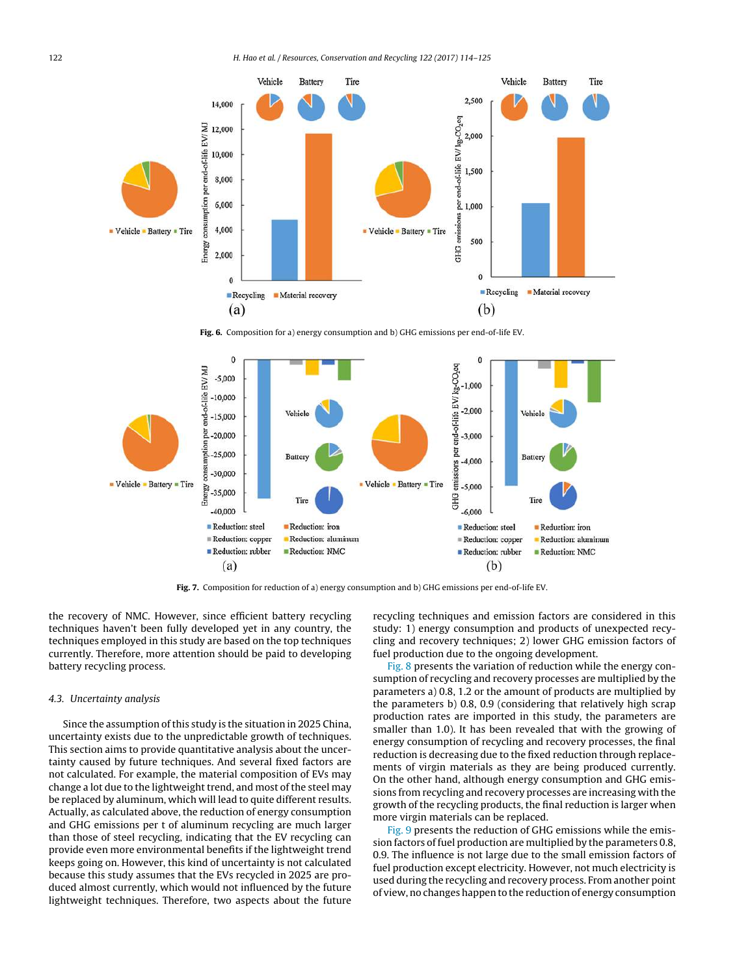<span id="page-8-0"></span>

**Fig. 6.** Composition for a) energy consumption and b) GHG emissions per end-of-life EV.



**Fig. 7.** Composition for reduction of a) energy consumption and b) GHG emissions per end-of-life EV.

the recovery of NMC. However, since efficient battery recycling techniques haven't been fully developed yet in any country, the techniques employed in this study are based on the top techniques currently. Therefore, more attention should be paid to developing battery recycling process.

## 4.3. Uncertainty analysis

Since the assumption of this study is the situation in 2025 China, uncertainty exists due to the unpredictable growth of techniques. This section aims to provide quantitative analysis about the uncertainty caused by future techniques. And several fixed factors are not calculated. For example, the material composition of EVs may change a lot due to the lightweight trend, and most of the steel may be replaced by aluminum, which will lead to quite different results. Actually, as calculated above, the reduction of energy consumption and GHG emissions per t of aluminum recycling are much larger than those of steel recycling, indicating that the EV recycling can provide even more environmental benefits if the lightweight trend keeps going on. However, this kind of uncertainty is not calculated because this study assumes that the EVs recycled in 2025 are produced almost currently, which would not influenced by the future lightweight techniques. Therefore, two aspects about the future recycling techniques and emission factors are considered in this study: 1) energy consumption and products of unexpected recycling and recovery techniques; 2) lower GHG emission factors of fuel production due to the ongoing development.

[Fig.](#page-9-0) 8 presents the variation of reduction while the energy consumption of recycling and recovery processes are multiplied by the parameters a) 0.8, 1.2 or the amount of products are multiplied by the parameters b) 0.8, 0.9 (considering that relatively high scrap production rates are imported in this study, the parameters are smaller than 1.0). It has been revealed that with the growing of energy consumption of recycling and recovery processes, the final reduction is decreasing due to the fixed reduction through replacements of virgin materials as they are being produced currently. On the other hand, although energy consumption and GHG emissions from recycling and recovery processes are increasing with the growth of the recycling products, the final reduction is larger when more virgin materials can be replaced.

[Fig.](#page-10-0) 9 presents the reduction of GHG emissions while the emission factors of fuel production are multiplied by the parameters 0.8, 0.9. The influence is not large due to the small emission factors of fuel production except electricity. However, not much electricity is used during the recycling and recovery process. From another point of view, no changes happen to the reduction of energy consumption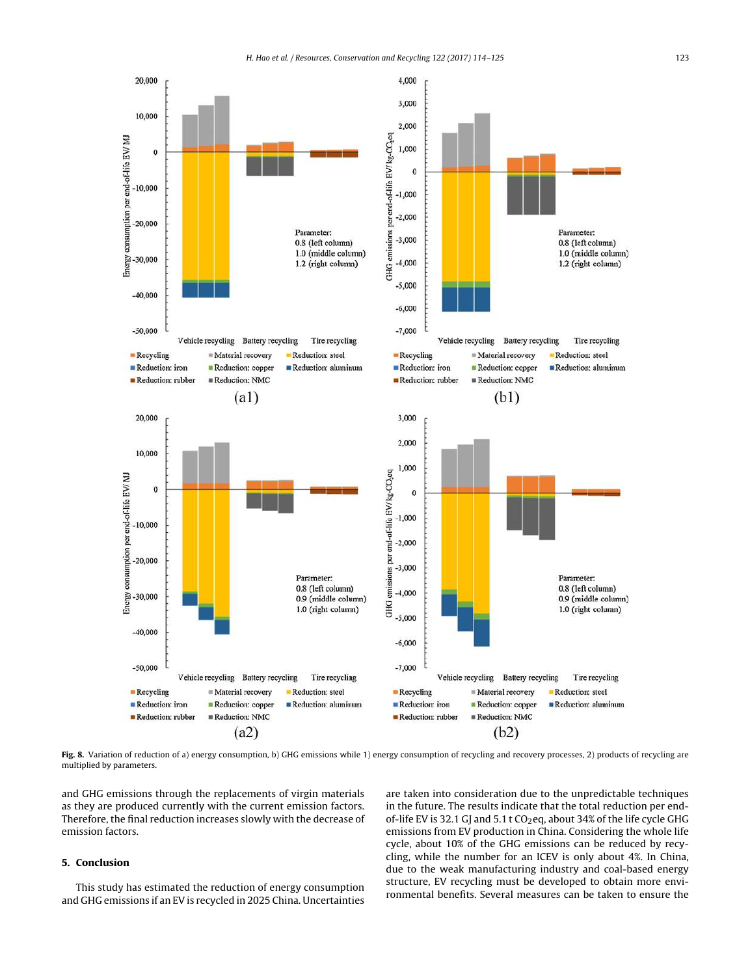<span id="page-9-0"></span>

Fig. 8. Variation of reduction of a) energy consumption, b) GHG emissions while 1) energy consumption of recycling and recovery processes, 2) products of recycling are multiplied by parameters.

and GHG emissions through the replacements of virgin materials as they are produced currently with the current emission factors. Therefore, the final reduction increases slowly with the decrease of emission factors.

## **5. Conclusion**

This study has estimated the reduction of energy consumption and GHG emissions if an EV is recycled in 2025 China. Uncertainties

are taken into consideration due to the unpredictable techniques in the future. The results indicate that the total reduction per endof-life EV is 32.1 GJ and 5.1 t  $CO<sub>2</sub>$ eq, about 34% of the life cycle GHG emissions from EV production in China. Considering the whole life cycle, about 10% of the GHG emissions can be reduced by recycling, while the number for an ICEV is only about 4%. In China, due to the weak manufacturing industry and coal-based energy structure, EV recycling must be developed to obtain more environmental benefits. Several measures can be taken to ensure the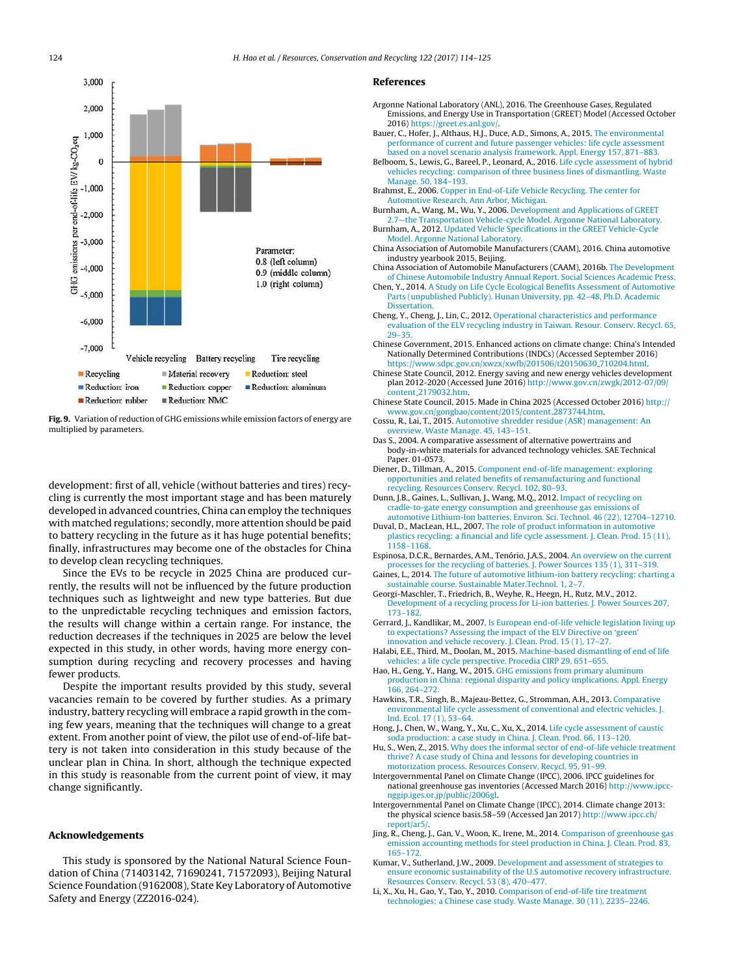<span id="page-10-0"></span>

**Fig. 9.** Variation of reduction of GHG emissions while emission factors of energy are multiplied by parameters.

development: first of all, vehicle (without batteries and tires) recycling is currently the most important stage and has been maturely developed in advanced countries, China can employ the techniques with matched regulations; secondly, more attention should be paid to battery recycling in the future as it has huge potential benefits; finally, infrastructures may become one of the obstacles for China to develop clean recycling techniques.

Since the EVs to be recycle in 2025 China are produced currently, the results will not be influenced by the future production techniques such as lightweight and new type batteries. But due to the unpredictable recycling techniques and emission factors, the results will change within a certain range. For instance, the reduction decreases if the techniques in 2025 are below the level expected in this study, in other words, having more energy consumption during recycling and recovery processes and having fewer products.

Despite the important results provided by this study, several vacancies remain to be covered by further studies. As a primary industry, battery recycling will embrace a rapid growth in the coming few years, meaning that the techniques will change to a great extent. From another point of view, the pilot use of end-of-life battery is not taken into consideration in this study because of the unclear plan in China. In short, although the technique expected in this study is reasonable from the current point of view, it may change significantly.

## **Acknowledgements**

This study is sponsored by the National Natural Science Foundation of China (71403142, 71690241, 71572093), Beijing Natural Science Foundation (9162008), State Key Laboratory of Automotive Safety and Energy (ZZ2016-024).

#### **References**

- Argonne National Laboratory (ANL), 2016. The Greenhouse Gases, Regulated Emissions, and Energy Use in Transportation (GREET) Model (Accessed October 2016) <https://greet.es.anl.gov/>.
- Bauer, C., Hofer, J., Althaus, H.J., Duce, A.D., Simons, A., 2015. [The](http://refhub.elsevier.com/S0921-3449(17)30040-X/sbref0010) [environmental](http://refhub.elsevier.com/S0921-3449(17)30040-X/sbref0010) [performance](http://refhub.elsevier.com/S0921-3449(17)30040-X/sbref0010) [of](http://refhub.elsevier.com/S0921-3449(17)30040-X/sbref0010) [current](http://refhub.elsevier.com/S0921-3449(17)30040-X/sbref0010) [and](http://refhub.elsevier.com/S0921-3449(17)30040-X/sbref0010) [future](http://refhub.elsevier.com/S0921-3449(17)30040-X/sbref0010) [passenger](http://refhub.elsevier.com/S0921-3449(17)30040-X/sbref0010) [vehicles:](http://refhub.elsevier.com/S0921-3449(17)30040-X/sbref0010) [life](http://refhub.elsevier.com/S0921-3449(17)30040-X/sbref0010) [cycle](http://refhub.elsevier.com/S0921-3449(17)30040-X/sbref0010) [assessment](http://refhub.elsevier.com/S0921-3449(17)30040-X/sbref0010) [based](http://refhub.elsevier.com/S0921-3449(17)30040-X/sbref0010) [on](http://refhub.elsevier.com/S0921-3449(17)30040-X/sbref0010) [a](http://refhub.elsevier.com/S0921-3449(17)30040-X/sbref0010) [novel](http://refhub.elsevier.com/S0921-3449(17)30040-X/sbref0010) [scenario](http://refhub.elsevier.com/S0921-3449(17)30040-X/sbref0010) [analysis](http://refhub.elsevier.com/S0921-3449(17)30040-X/sbref0010) [framework.](http://refhub.elsevier.com/S0921-3449(17)30040-X/sbref0010) [Appl.](http://refhub.elsevier.com/S0921-3449(17)30040-X/sbref0010) [Energy](http://refhub.elsevier.com/S0921-3449(17)30040-X/sbref0010) [157,](http://refhub.elsevier.com/S0921-3449(17)30040-X/sbref0010) [871](http://refhub.elsevier.com/S0921-3449(17)30040-X/sbref0010)–[883.](http://refhub.elsevier.com/S0921-3449(17)30040-X/sbref0010)
- Belboom, S., Lewis, G., Bareel, P., Leonard, A., 2016. [Life](http://refhub.elsevier.com/S0921-3449(17)30040-X/sbref0015) [cycle](http://refhub.elsevier.com/S0921-3449(17)30040-X/sbref0015) [assessment](http://refhub.elsevier.com/S0921-3449(17)30040-X/sbref0015) [of](http://refhub.elsevier.com/S0921-3449(17)30040-X/sbref0015) [hybrid](http://refhub.elsevier.com/S0921-3449(17)30040-X/sbref0015) [vehicles](http://refhub.elsevier.com/S0921-3449(17)30040-X/sbref0015) [recycling:](http://refhub.elsevier.com/S0921-3449(17)30040-X/sbref0015) [comparison](http://refhub.elsevier.com/S0921-3449(17)30040-X/sbref0015) [of](http://refhub.elsevier.com/S0921-3449(17)30040-X/sbref0015) [three](http://refhub.elsevier.com/S0921-3449(17)30040-X/sbref0015) [business](http://refhub.elsevier.com/S0921-3449(17)30040-X/sbref0015) [lines](http://refhub.elsevier.com/S0921-3449(17)30040-X/sbref0015) [of](http://refhub.elsevier.com/S0921-3449(17)30040-X/sbref0015) [dismantling.](http://refhub.elsevier.com/S0921-3449(17)30040-X/sbref0015) [Waste](http://refhub.elsevier.com/S0921-3449(17)30040-X/sbref0015) [Manage.](http://refhub.elsevier.com/S0921-3449(17)30040-X/sbref0015) [50,](http://refhub.elsevier.com/S0921-3449(17)30040-X/sbref0015) [184](http://refhub.elsevier.com/S0921-3449(17)30040-X/sbref0015)–[193.](http://refhub.elsevier.com/S0921-3449(17)30040-X/sbref0015)
- Brahmst, E., 2006. [Copper](http://refhub.elsevier.com/S0921-3449(17)30040-X/sbref0020) [in](http://refhub.elsevier.com/S0921-3449(17)30040-X/sbref0020) [End-of-Life](http://refhub.elsevier.com/S0921-3449(17)30040-X/sbref0020) [Vehicle](http://refhub.elsevier.com/S0921-3449(17)30040-X/sbref0020) [Recycling.](http://refhub.elsevier.com/S0921-3449(17)30040-X/sbref0020) [The](http://refhub.elsevier.com/S0921-3449(17)30040-X/sbref0020) [center](http://refhub.elsevier.com/S0921-3449(17)30040-X/sbref0020) [for](http://refhub.elsevier.com/S0921-3449(17)30040-X/sbref0020) [Automotive](http://refhub.elsevier.com/S0921-3449(17)30040-X/sbref0020) [Research,](http://refhub.elsevier.com/S0921-3449(17)30040-X/sbref0020) [Ann](http://refhub.elsevier.com/S0921-3449(17)30040-X/sbref0020) [Arbor,](http://refhub.elsevier.com/S0921-3449(17)30040-X/sbref0020) [Michigan.](http://refhub.elsevier.com/S0921-3449(17)30040-X/sbref0020)
- Burnham, A., Wang, M., Wu, Y., 2006. [Development](http://refhub.elsevier.com/S0921-3449(17)30040-X/sbref0025) [and](http://refhub.elsevier.com/S0921-3449(17)30040-X/sbref0025) [Applications](http://refhub.elsevier.com/S0921-3449(17)30040-X/sbref0025) [of](http://refhub.elsevier.com/S0921-3449(17)30040-X/sbref0025) [GREET](http://refhub.elsevier.com/S0921-3449(17)30040-X/sbref0025) [2.7—the](http://refhub.elsevier.com/S0921-3449(17)30040-X/sbref0025) [Transportation](http://refhub.elsevier.com/S0921-3449(17)30040-X/sbref0025) [Vehicle-cycle](http://refhub.elsevier.com/S0921-3449(17)30040-X/sbref0025) [Model.](http://refhub.elsevier.com/S0921-3449(17)30040-X/sbref0025) [Argonne](http://refhub.elsevier.com/S0921-3449(17)30040-X/sbref0025) [National](http://refhub.elsevier.com/S0921-3449(17)30040-X/sbref0025) [Laboratory.](http://refhub.elsevier.com/S0921-3449(17)30040-X/sbref0025) Burnham, A., 2012. [Updated](http://refhub.elsevier.com/S0921-3449(17)30040-X/sbref0030) [Vehicle](http://refhub.elsevier.com/S0921-3449(17)30040-X/sbref0030) [Specifications](http://refhub.elsevier.com/S0921-3449(17)30040-X/sbref0030) [in](http://refhub.elsevier.com/S0921-3449(17)30040-X/sbref0030) [the](http://refhub.elsevier.com/S0921-3449(17)30040-X/sbref0030) [GREET](http://refhub.elsevier.com/S0921-3449(17)30040-X/sbref0030) [Vehicle-Cycle](http://refhub.elsevier.com/S0921-3449(17)30040-X/sbref0030)
- [Model.](http://refhub.elsevier.com/S0921-3449(17)30040-X/sbref0030) [Argonne](http://refhub.elsevier.com/S0921-3449(17)30040-X/sbref0030) [National](http://refhub.elsevier.com/S0921-3449(17)30040-X/sbref0030) [Laboratory.](http://refhub.elsevier.com/S0921-3449(17)30040-X/sbref0030)
- China Association of Automobile Manufacturers (CAAM), 2016. China automotive industry yearbook 2015, Beijing.
- China Association of Automobile Manufacturers (CAAM), 2016b. [The](http://refhub.elsevier.com/S0921-3449(17)30040-X/sbref0040) [Development](http://refhub.elsevier.com/S0921-3449(17)30040-X/sbref0040) [of](http://refhub.elsevier.com/S0921-3449(17)30040-X/sbref0040) [Chinese](http://refhub.elsevier.com/S0921-3449(17)30040-X/sbref0040) [Automobile](http://refhub.elsevier.com/S0921-3449(17)30040-X/sbref0040) [Industry](http://refhub.elsevier.com/S0921-3449(17)30040-X/sbref0040) [Annual](http://refhub.elsevier.com/S0921-3449(17)30040-X/sbref0040) [Report.](http://refhub.elsevier.com/S0921-3449(17)30040-X/sbref0040) [Social](http://refhub.elsevier.com/S0921-3449(17)30040-X/sbref0040) [Sciences](http://refhub.elsevier.com/S0921-3449(17)30040-X/sbref0040) [Academic](http://refhub.elsevier.com/S0921-3449(17)30040-X/sbref0040) [Press.](http://refhub.elsevier.com/S0921-3449(17)30040-X/sbref0040)
- Chen, Y., 2014. [A](http://refhub.elsevier.com/S0921-3449(17)30040-X/sbref0045) [Study](http://refhub.elsevier.com/S0921-3449(17)30040-X/sbref0045) [on](http://refhub.elsevier.com/S0921-3449(17)30040-X/sbref0045) [Life](http://refhub.elsevier.com/S0921-3449(17)30040-X/sbref0045) [Cycle](http://refhub.elsevier.com/S0921-3449(17)30040-X/sbref0045) [Ecological](http://refhub.elsevier.com/S0921-3449(17)30040-X/sbref0045) [Benefits](http://refhub.elsevier.com/S0921-3449(17)30040-X/sbref0045) [Assessment](http://refhub.elsevier.com/S0921-3449(17)30040-X/sbref0045) [of](http://refhub.elsevier.com/S0921-3449(17)30040-X/sbref0045) [Automotive](http://refhub.elsevier.com/S0921-3449(17)30040-X/sbref0045) [Parts](http://refhub.elsevier.com/S0921-3449(17)30040-X/sbref0045) [\(unpublished](http://refhub.elsevier.com/S0921-3449(17)30040-X/sbref0045) [Publicly\).](http://refhub.elsevier.com/S0921-3449(17)30040-X/sbref0045) [Hunan](http://refhub.elsevier.com/S0921-3449(17)30040-X/sbref0045) [University,](http://refhub.elsevier.com/S0921-3449(17)30040-X/sbref0045) [pp.](http://refhub.elsevier.com/S0921-3449(17)30040-X/sbref0045) [42–48,](http://refhub.elsevier.com/S0921-3449(17)30040-X/sbref0045) [Ph.D.](http://refhub.elsevier.com/S0921-3449(17)30040-X/sbref0045) [Academic](http://refhub.elsevier.com/S0921-3449(17)30040-X/sbref0045) [Dissertation.](http://refhub.elsevier.com/S0921-3449(17)30040-X/sbref0045)
- Cheng, Y., Cheng, J., Lin, C., 2012. [Operational](http://refhub.elsevier.com/S0921-3449(17)30040-X/sbref0050) [characteristics](http://refhub.elsevier.com/S0921-3449(17)30040-X/sbref0050) [and](http://refhub.elsevier.com/S0921-3449(17)30040-X/sbref0050) [performance](http://refhub.elsevier.com/S0921-3449(17)30040-X/sbref0050) [evaluation](http://refhub.elsevier.com/S0921-3449(17)30040-X/sbref0050) [of](http://refhub.elsevier.com/S0921-3449(17)30040-X/sbref0050) [the](http://refhub.elsevier.com/S0921-3449(17)30040-X/sbref0050) [ELV](http://refhub.elsevier.com/S0921-3449(17)30040-X/sbref0050) [recycling](http://refhub.elsevier.com/S0921-3449(17)30040-X/sbref0050) [industry](http://refhub.elsevier.com/S0921-3449(17)30040-X/sbref0050) [in](http://refhub.elsevier.com/S0921-3449(17)30040-X/sbref0050) [Taiwan.](http://refhub.elsevier.com/S0921-3449(17)30040-X/sbref0050) [Resour.](http://refhub.elsevier.com/S0921-3449(17)30040-X/sbref0050) [Conserv.](http://refhub.elsevier.com/S0921-3449(17)30040-X/sbref0050) [Recycl.](http://refhub.elsevier.com/S0921-3449(17)30040-X/sbref0050) [65,](http://refhub.elsevier.com/S0921-3449(17)30040-X/sbref0050) [29–35.](http://refhub.elsevier.com/S0921-3449(17)30040-X/sbref0050)
- Chinese Government, 2015. Enhanced actions on climate change: China's Intended Nationally Determined Contributions (INDCs) (Accessed September 2016) [https://www.sdpc.gov.cn/xwzx/xwfb/201506/t20150630](https://www.sdpc.gov.cn/xwzx/xwfb/201506/t20150630_710204.html) [710204.html.](https://www.sdpc.gov.cn/xwzx/xwfb/201506/t20150630_710204.html)
- Chinese State Council, 2012. Energy saving and new energy vehicles development plan 2012-2020 (Accessed June 2016) [http://www.gov.cn/zwgk/2012-07/09/](http://www.gov.cn/zwgk/2012-07/09/content_2179032.htm) [content](http://www.gov.cn/zwgk/2012-07/09/content_2179032.htm) [2179032.htm](http://www.gov.cn/zwgk/2012-07/09/content_2179032.htm).
- Chinese State Council, 2015. Made in China 2025 (Accessed October 2016) [http://](http://www.gov.cn/gongbao/content/2015/content_2873744.htm) [www.gov.cn/gongbao/content/2015/content](http://www.gov.cn/gongbao/content/2015/content_2873744.htm) [2873744.htm.](http://www.gov.cn/gongbao/content/2015/content_2873744.htm)
- Cossu, R., Lai, T., 2015. [Automotive](http://refhub.elsevier.com/S0921-3449(17)30040-X/sbref0070) [shredder](http://refhub.elsevier.com/S0921-3449(17)30040-X/sbref0070) [residue](http://refhub.elsevier.com/S0921-3449(17)30040-X/sbref0070) [\(ASR\)](http://refhub.elsevier.com/S0921-3449(17)30040-X/sbref0070) [management:](http://refhub.elsevier.com/S0921-3449(17)30040-X/sbref0070) [An](http://refhub.elsevier.com/S0921-3449(17)30040-X/sbref0070) [overview.](http://refhub.elsevier.com/S0921-3449(17)30040-X/sbref0070) [Waste](http://refhub.elsevier.com/S0921-3449(17)30040-X/sbref0070) [Manage.](http://refhub.elsevier.com/S0921-3449(17)30040-X/sbref0070) [45,](http://refhub.elsevier.com/S0921-3449(17)30040-X/sbref0070) [143–151.](http://refhub.elsevier.com/S0921-3449(17)30040-X/sbref0070)
- Das S., 2004. A comparative assessment of alternative powertrains and body-in-white materials for advanced technology vehicles. SAE Technical Paper. 01-0573.
- Diener, D., Tillman, A., 2015. [Component](http://refhub.elsevier.com/S0921-3449(17)30040-X/sbref0080) [end-of-life](http://refhub.elsevier.com/S0921-3449(17)30040-X/sbref0080) [management:](http://refhub.elsevier.com/S0921-3449(17)30040-X/sbref0080) [exploring](http://refhub.elsevier.com/S0921-3449(17)30040-X/sbref0080) [opportunities](http://refhub.elsevier.com/S0921-3449(17)30040-X/sbref0080) [and](http://refhub.elsevier.com/S0921-3449(17)30040-X/sbref0080) [related](http://refhub.elsevier.com/S0921-3449(17)30040-X/sbref0080) [benefits](http://refhub.elsevier.com/S0921-3449(17)30040-X/sbref0080) [of](http://refhub.elsevier.com/S0921-3449(17)30040-X/sbref0080) [remanufacturing](http://refhub.elsevier.com/S0921-3449(17)30040-X/sbref0080) [and](http://refhub.elsevier.com/S0921-3449(17)30040-X/sbref0080) [functional](http://refhub.elsevier.com/S0921-3449(17)30040-X/sbref0080) [recycling.](http://refhub.elsevier.com/S0921-3449(17)30040-X/sbref0080) [Resources](http://refhub.elsevier.com/S0921-3449(17)30040-X/sbref0080) [Conserv.](http://refhub.elsevier.com/S0921-3449(17)30040-X/sbref0080) [Recycl.](http://refhub.elsevier.com/S0921-3449(17)30040-X/sbref0080) [102,](http://refhub.elsevier.com/S0921-3449(17)30040-X/sbref0080) [80](http://refhub.elsevier.com/S0921-3449(17)30040-X/sbref0080)–[93.](http://refhub.elsevier.com/S0921-3449(17)30040-X/sbref0080)
- Dunn, J.B., Gaines, L., Sullivan, J., Wang, M.Q., 2012. [Impact](http://refhub.elsevier.com/S0921-3449(17)30040-X/sbref0085) [of](http://refhub.elsevier.com/S0921-3449(17)30040-X/sbref0085) [recycling](http://refhub.elsevier.com/S0921-3449(17)30040-X/sbref0085) [on](http://refhub.elsevier.com/S0921-3449(17)30040-X/sbref0085) [cradle-to-gate](http://refhub.elsevier.com/S0921-3449(17)30040-X/sbref0085) [energy](http://refhub.elsevier.com/S0921-3449(17)30040-X/sbref0085) [consumption](http://refhub.elsevier.com/S0921-3449(17)30040-X/sbref0085) [and](http://refhub.elsevier.com/S0921-3449(17)30040-X/sbref0085) [greenhouse](http://refhub.elsevier.com/S0921-3449(17)30040-X/sbref0085) [gas](http://refhub.elsevier.com/S0921-3449(17)30040-X/sbref0085) [emissions](http://refhub.elsevier.com/S0921-3449(17)30040-X/sbref0085) [of](http://refhub.elsevier.com/S0921-3449(17)30040-X/sbref0085) [automotive](http://refhub.elsevier.com/S0921-3449(17)30040-X/sbref0085) [Lithium-Ion](http://refhub.elsevier.com/S0921-3449(17)30040-X/sbref0085) [batteries.](http://refhub.elsevier.com/S0921-3449(17)30040-X/sbref0085) [Environ.](http://refhub.elsevier.com/S0921-3449(17)30040-X/sbref0085) [Sci.](http://refhub.elsevier.com/S0921-3449(17)30040-X/sbref0085) [Technol.](http://refhub.elsevier.com/S0921-3449(17)30040-X/sbref0085) [46](http://refhub.elsevier.com/S0921-3449(17)30040-X/sbref0085) [\(22\),](http://refhub.elsevier.com/S0921-3449(17)30040-X/sbref0085) [12704](http://refhub.elsevier.com/S0921-3449(17)30040-X/sbref0085)–[12710.](http://refhub.elsevier.com/S0921-3449(17)30040-X/sbref0085)
- Duval, D., MacLean, H.L., 2007. [The](http://refhub.elsevier.com/S0921-3449(17)30040-X/sbref0090) [role](http://refhub.elsevier.com/S0921-3449(17)30040-X/sbref0090) [of](http://refhub.elsevier.com/S0921-3449(17)30040-X/sbref0090) [product](http://refhub.elsevier.com/S0921-3449(17)30040-X/sbref0090) [information](http://refhub.elsevier.com/S0921-3449(17)30040-X/sbref0090) [in](http://refhub.elsevier.com/S0921-3449(17)30040-X/sbref0090) [automotive](http://refhub.elsevier.com/S0921-3449(17)30040-X/sbref0090) [plastics](http://refhub.elsevier.com/S0921-3449(17)30040-X/sbref0090) [recycling:](http://refhub.elsevier.com/S0921-3449(17)30040-X/sbref0090) [a](http://refhub.elsevier.com/S0921-3449(17)30040-X/sbref0090) [financial](http://refhub.elsevier.com/S0921-3449(17)30040-X/sbref0090) [and](http://refhub.elsevier.com/S0921-3449(17)30040-X/sbref0090) [life](http://refhub.elsevier.com/S0921-3449(17)30040-X/sbref0090) [cycle](http://refhub.elsevier.com/S0921-3449(17)30040-X/sbref0090) [assessment.](http://refhub.elsevier.com/S0921-3449(17)30040-X/sbref0090) [J.](http://refhub.elsevier.com/S0921-3449(17)30040-X/sbref0090) [Clean.](http://refhub.elsevier.com/S0921-3449(17)30040-X/sbref0090) [Prod.](http://refhub.elsevier.com/S0921-3449(17)30040-X/sbref0090) [15](http://refhub.elsevier.com/S0921-3449(17)30040-X/sbref0090) [\(11\),](http://refhub.elsevier.com/S0921-3449(17)30040-X/sbref0090) [1158](http://refhub.elsevier.com/S0921-3449(17)30040-X/sbref0090)–[1168.](http://refhub.elsevier.com/S0921-3449(17)30040-X/sbref0090)
- Espinosa, D.C.R., Bernardes, A.M., Tenório, J.A.S., 2004. [An](http://refhub.elsevier.com/S0921-3449(17)30040-X/sbref0095) [overview](http://refhub.elsevier.com/S0921-3449(17)30040-X/sbref0095) [on](http://refhub.elsevier.com/S0921-3449(17)30040-X/sbref0095) [the](http://refhub.elsevier.com/S0921-3449(17)30040-X/sbref0095) [current](http://refhub.elsevier.com/S0921-3449(17)30040-X/sbref0095) [processes](http://refhub.elsevier.com/S0921-3449(17)30040-X/sbref0095) [for](http://refhub.elsevier.com/S0921-3449(17)30040-X/sbref0095) [the](http://refhub.elsevier.com/S0921-3449(17)30040-X/sbref0095) [recycling](http://refhub.elsevier.com/S0921-3449(17)30040-X/sbref0095) [of](http://refhub.elsevier.com/S0921-3449(17)30040-X/sbref0095) [batteries.](http://refhub.elsevier.com/S0921-3449(17)30040-X/sbref0095) [J.](http://refhub.elsevier.com/S0921-3449(17)30040-X/sbref0095) [Power](http://refhub.elsevier.com/S0921-3449(17)30040-X/sbref0095) [Sources](http://refhub.elsevier.com/S0921-3449(17)30040-X/sbref0095) [135](http://refhub.elsevier.com/S0921-3449(17)30040-X/sbref0095) [\(1\),](http://refhub.elsevier.com/S0921-3449(17)30040-X/sbref0095) [311](http://refhub.elsevier.com/S0921-3449(17)30040-X/sbref0095)–[319.](http://refhub.elsevier.com/S0921-3449(17)30040-X/sbref0095)
- Gaines, L., 2014. [The](http://refhub.elsevier.com/S0921-3449(17)30040-X/sbref0100) [future](http://refhub.elsevier.com/S0921-3449(17)30040-X/sbref0100) [of](http://refhub.elsevier.com/S0921-3449(17)30040-X/sbref0100) [automotive](http://refhub.elsevier.com/S0921-3449(17)30040-X/sbref0100) [lithium-ion](http://refhub.elsevier.com/S0921-3449(17)30040-X/sbref0100) [battery](http://refhub.elsevier.com/S0921-3449(17)30040-X/sbref0100) [recycling:](http://refhub.elsevier.com/S0921-3449(17)30040-X/sbref0100) [charting](http://refhub.elsevier.com/S0921-3449(17)30040-X/sbref0100) [a](http://refhub.elsevier.com/S0921-3449(17)30040-X/sbref0100) [sustainable](http://refhub.elsevier.com/S0921-3449(17)30040-X/sbref0100) [course.](http://refhub.elsevier.com/S0921-3449(17)30040-X/sbref0100) [Sustainable](http://refhub.elsevier.com/S0921-3449(17)30040-X/sbref0100) [Mater.Technol.](http://refhub.elsevier.com/S0921-3449(17)30040-X/sbref0100) [1,](http://refhub.elsevier.com/S0921-3449(17)30040-X/sbref0100) [2](http://refhub.elsevier.com/S0921-3449(17)30040-X/sbref0100)–[7.](http://refhub.elsevier.com/S0921-3449(17)30040-X/sbref0100)
- Georgi-Maschler, T., Friedrich, B., Weyhe, R., Heegn, H., Rutz, M.V., 2012. [Development](http://refhub.elsevier.com/S0921-3449(17)30040-X/sbref0105) [of](http://refhub.elsevier.com/S0921-3449(17)30040-X/sbref0105) [a](http://refhub.elsevier.com/S0921-3449(17)30040-X/sbref0105) [recycling](http://refhub.elsevier.com/S0921-3449(17)30040-X/sbref0105) [process](http://refhub.elsevier.com/S0921-3449(17)30040-X/sbref0105) [for](http://refhub.elsevier.com/S0921-3449(17)30040-X/sbref0105) [Li-ion](http://refhub.elsevier.com/S0921-3449(17)30040-X/sbref0105) [batteries.](http://refhub.elsevier.com/S0921-3449(17)30040-X/sbref0105) [J.](http://refhub.elsevier.com/S0921-3449(17)30040-X/sbref0105) [Power](http://refhub.elsevier.com/S0921-3449(17)30040-X/sbref0105) [Sources](http://refhub.elsevier.com/S0921-3449(17)30040-X/sbref0105) [207,](http://refhub.elsevier.com/S0921-3449(17)30040-X/sbref0105) [173](http://refhub.elsevier.com/S0921-3449(17)30040-X/sbref0105)–[182.](http://refhub.elsevier.com/S0921-3449(17)30040-X/sbref0105)
- Gerrard, J., Kandlikar, M., 2007. [Is](http://refhub.elsevier.com/S0921-3449(17)30040-X/sbref0110) [European](http://refhub.elsevier.com/S0921-3449(17)30040-X/sbref0110) [end-of-life](http://refhub.elsevier.com/S0921-3449(17)30040-X/sbref0110) [vehicle](http://refhub.elsevier.com/S0921-3449(17)30040-X/sbref0110) [legislation](http://refhub.elsevier.com/S0921-3449(17)30040-X/sbref0110) [living](http://refhub.elsevier.com/S0921-3449(17)30040-X/sbref0110) [up](http://refhub.elsevier.com/S0921-3449(17)30040-X/sbref0110) [to](http://refhub.elsevier.com/S0921-3449(17)30040-X/sbref0110) [expectations?](http://refhub.elsevier.com/S0921-3449(17)30040-X/sbref0110) [Assessing](http://refhub.elsevier.com/S0921-3449(17)30040-X/sbref0110) [the](http://refhub.elsevier.com/S0921-3449(17)30040-X/sbref0110) [impact](http://refhub.elsevier.com/S0921-3449(17)30040-X/sbref0110) [of](http://refhub.elsevier.com/S0921-3449(17)30040-X/sbref0110) [the](http://refhub.elsevier.com/S0921-3449(17)30040-X/sbref0110) [ELV](http://refhub.elsevier.com/S0921-3449(17)30040-X/sbref0110) [Directive](http://refhub.elsevier.com/S0921-3449(17)30040-X/sbref0110) [on](http://refhub.elsevier.com/S0921-3449(17)30040-X/sbref0110) ['green'](http://refhub.elsevier.com/S0921-3449(17)30040-X/sbref0110) [innovation](http://refhub.elsevier.com/S0921-3449(17)30040-X/sbref0110) [and](http://refhub.elsevier.com/S0921-3449(17)30040-X/sbref0110) [vehicle](http://refhub.elsevier.com/S0921-3449(17)30040-X/sbref0110) [recovery.](http://refhub.elsevier.com/S0921-3449(17)30040-X/sbref0110) [J.](http://refhub.elsevier.com/S0921-3449(17)30040-X/sbref0110) [Clean.](http://refhub.elsevier.com/S0921-3449(17)30040-X/sbref0110) [Prod.](http://refhub.elsevier.com/S0921-3449(17)30040-X/sbref0110) [15](http://refhub.elsevier.com/S0921-3449(17)30040-X/sbref0110) [\(1\),](http://refhub.elsevier.com/S0921-3449(17)30040-X/sbref0110) [17–27.](http://refhub.elsevier.com/S0921-3449(17)30040-X/sbref0110)
- Halabi, E.E., Third, M., Doolan, M., 2015. [Machine-based](http://refhub.elsevier.com/S0921-3449(17)30040-X/sbref0115) [dismantling](http://refhub.elsevier.com/S0921-3449(17)30040-X/sbref0115) [of](http://refhub.elsevier.com/S0921-3449(17)30040-X/sbref0115) [end](http://refhub.elsevier.com/S0921-3449(17)30040-X/sbref0115) [of](http://refhub.elsevier.com/S0921-3449(17)30040-X/sbref0115) [life](http://refhub.elsevier.com/S0921-3449(17)30040-X/sbref0115)
- [vehicles:](http://refhub.elsevier.com/S0921-3449(17)30040-X/sbref0115) [a](http://refhub.elsevier.com/S0921-3449(17)30040-X/sbref0115) [life](http://refhub.elsevier.com/S0921-3449(17)30040-X/sbref0115) [cycle](http://refhub.elsevier.com/S0921-3449(17)30040-X/sbref0115) [perspective.](http://refhub.elsevier.com/S0921-3449(17)30040-X/sbref0115) [Procedia](http://refhub.elsevier.com/S0921-3449(17)30040-X/sbref0115) [CIRP](http://refhub.elsevier.com/S0921-3449(17)30040-X/sbref0115) [29,](http://refhub.elsevier.com/S0921-3449(17)30040-X/sbref0115) [651–655.](http://refhub.elsevier.com/S0921-3449(17)30040-X/sbref0115) Hao, H., Geng, Y., Hang, W., 2015. [GHG](http://refhub.elsevier.com/S0921-3449(17)30040-X/sbref0120) [emissions](http://refhub.elsevier.com/S0921-3449(17)30040-X/sbref0120) [from](http://refhub.elsevier.com/S0921-3449(17)30040-X/sbref0120) [primary](http://refhub.elsevier.com/S0921-3449(17)30040-X/sbref0120) [aluminum](http://refhub.elsevier.com/S0921-3449(17)30040-X/sbref0120) [production](http://refhub.elsevier.com/S0921-3449(17)30040-X/sbref0120) [in](http://refhub.elsevier.com/S0921-3449(17)30040-X/sbref0120) [China:](http://refhub.elsevier.com/S0921-3449(17)30040-X/sbref0120) [regional](http://refhub.elsevier.com/S0921-3449(17)30040-X/sbref0120) [disparity](http://refhub.elsevier.com/S0921-3449(17)30040-X/sbref0120) [and](http://refhub.elsevier.com/S0921-3449(17)30040-X/sbref0120) [policy](http://refhub.elsevier.com/S0921-3449(17)30040-X/sbref0120) [implications.](http://refhub.elsevier.com/S0921-3449(17)30040-X/sbref0120) [Appl.](http://refhub.elsevier.com/S0921-3449(17)30040-X/sbref0120) [Energy](http://refhub.elsevier.com/S0921-3449(17)30040-X/sbref0120) [166,](http://refhub.elsevier.com/S0921-3449(17)30040-X/sbref0120) [264–272.](http://refhub.elsevier.com/S0921-3449(17)30040-X/sbref0120)
- Hawkins, T.R., Singh, B., Majeau-Bettez, G., Stromman, A.H., 2013. [Comparative](http://refhub.elsevier.com/S0921-3449(17)30040-X/sbref0125) [environmental](http://refhub.elsevier.com/S0921-3449(17)30040-X/sbref0125) [life](http://refhub.elsevier.com/S0921-3449(17)30040-X/sbref0125) [cycle](http://refhub.elsevier.com/S0921-3449(17)30040-X/sbref0125) [assessment](http://refhub.elsevier.com/S0921-3449(17)30040-X/sbref0125) [of](http://refhub.elsevier.com/S0921-3449(17)30040-X/sbref0125) [conventional](http://refhub.elsevier.com/S0921-3449(17)30040-X/sbref0125) [and](http://refhub.elsevier.com/S0921-3449(17)30040-X/sbref0125) [electric](http://refhub.elsevier.com/S0921-3449(17)30040-X/sbref0125) [vehicles.](http://refhub.elsevier.com/S0921-3449(17)30040-X/sbref0125) [J.](http://refhub.elsevier.com/S0921-3449(17)30040-X/sbref0125) [Ind.](http://refhub.elsevier.com/S0921-3449(17)30040-X/sbref0125) [Ecol.](http://refhub.elsevier.com/S0921-3449(17)30040-X/sbref0125) [17](http://refhub.elsevier.com/S0921-3449(17)30040-X/sbref0125) [\(1\),](http://refhub.elsevier.com/S0921-3449(17)30040-X/sbref0125) [53–64.](http://refhub.elsevier.com/S0921-3449(17)30040-X/sbref0125)
- Hong, J., Chen, W., Wang, Y., Xu, C., Xu, X., 2014. [Life](http://refhub.elsevier.com/S0921-3449(17)30040-X/sbref0130) [cycle](http://refhub.elsevier.com/S0921-3449(17)30040-X/sbref0130) [assessment](http://refhub.elsevier.com/S0921-3449(17)30040-X/sbref0130) [of](http://refhub.elsevier.com/S0921-3449(17)30040-X/sbref0130) [caustic](http://refhub.elsevier.com/S0921-3449(17)30040-X/sbref0130) [soda](http://refhub.elsevier.com/S0921-3449(17)30040-X/sbref0130) [production:](http://refhub.elsevier.com/S0921-3449(17)30040-X/sbref0130) [a](http://refhub.elsevier.com/S0921-3449(17)30040-X/sbref0130) [case](http://refhub.elsevier.com/S0921-3449(17)30040-X/sbref0130) [study](http://refhub.elsevier.com/S0921-3449(17)30040-X/sbref0130) [in](http://refhub.elsevier.com/S0921-3449(17)30040-X/sbref0130) [China.](http://refhub.elsevier.com/S0921-3449(17)30040-X/sbref0130) [J.](http://refhub.elsevier.com/S0921-3449(17)30040-X/sbref0130) [Clean.](http://refhub.elsevier.com/S0921-3449(17)30040-X/sbref0130) [Prod.](http://refhub.elsevier.com/S0921-3449(17)30040-X/sbref0130) [66,](http://refhub.elsevier.com/S0921-3449(17)30040-X/sbref0130) [113–120.](http://refhub.elsevier.com/S0921-3449(17)30040-X/sbref0130)
- Hu, S., Wen, Z., 2015. [Why](http://refhub.elsevier.com/S0921-3449(17)30040-X/sbref0135) [does](http://refhub.elsevier.com/S0921-3449(17)30040-X/sbref0135) [the](http://refhub.elsevier.com/S0921-3449(17)30040-X/sbref0135) [informal](http://refhub.elsevier.com/S0921-3449(17)30040-X/sbref0135) [sector](http://refhub.elsevier.com/S0921-3449(17)30040-X/sbref0135) [of](http://refhub.elsevier.com/S0921-3449(17)30040-X/sbref0135) [end-of-life](http://refhub.elsevier.com/S0921-3449(17)30040-X/sbref0135) [vehicle](http://refhub.elsevier.com/S0921-3449(17)30040-X/sbref0135) [treatment](http://refhub.elsevier.com/S0921-3449(17)30040-X/sbref0135) [thrive?](http://refhub.elsevier.com/S0921-3449(17)30040-X/sbref0135) [A](http://refhub.elsevier.com/S0921-3449(17)30040-X/sbref0135) [case](http://refhub.elsevier.com/S0921-3449(17)30040-X/sbref0135) [study](http://refhub.elsevier.com/S0921-3449(17)30040-X/sbref0135) [of](http://refhub.elsevier.com/S0921-3449(17)30040-X/sbref0135) [China](http://refhub.elsevier.com/S0921-3449(17)30040-X/sbref0135) [and](http://refhub.elsevier.com/S0921-3449(17)30040-X/sbref0135) [lessons](http://refhub.elsevier.com/S0921-3449(17)30040-X/sbref0135) [for](http://refhub.elsevier.com/S0921-3449(17)30040-X/sbref0135) [developing](http://refhub.elsevier.com/S0921-3449(17)30040-X/sbref0135) [countries](http://refhub.elsevier.com/S0921-3449(17)30040-X/sbref0135) [in](http://refhub.elsevier.com/S0921-3449(17)30040-X/sbref0135) [motorization](http://refhub.elsevier.com/S0921-3449(17)30040-X/sbref0135) [process.](http://refhub.elsevier.com/S0921-3449(17)30040-X/sbref0135) [Resources](http://refhub.elsevier.com/S0921-3449(17)30040-X/sbref0135) [Conserv.](http://refhub.elsevier.com/S0921-3449(17)30040-X/sbref0135) [Recycl.](http://refhub.elsevier.com/S0921-3449(17)30040-X/sbref0135) [95,](http://refhub.elsevier.com/S0921-3449(17)30040-X/sbref0135) [91–99.](http://refhub.elsevier.com/S0921-3449(17)30040-X/sbref0135)
- Intergovernmental Panel on Climate Change (IPCC), 2006. IPCC guidelines for national greenhouse gas inventories (Accessed March 2016) [http://www.ipcc](http://www.ipcc-nggip.iges.or.jp/public/2006gl)[nggip.iges.or.jp/public/2006gl](http://www.ipcc-nggip.iges.or.jp/public/2006gl).
- Intergovernmental Panel on Climate Change (IPCC), 2014. Climate change 2013: the physical science basis.58–59 (Accessed Jan 2017) [http://www.ipcc.ch/](http://www.ipcc.ch/report/ar5/) [report/ar5/](http://www.ipcc.ch/report/ar5/).
- Jing, R., Cheng, J., Gan, V., Woon, K., Irene, M., 2014. [Comparison](http://refhub.elsevier.com/S0921-3449(17)30040-X/sbref0150) [of](http://refhub.elsevier.com/S0921-3449(17)30040-X/sbref0150) [greenhouse](http://refhub.elsevier.com/S0921-3449(17)30040-X/sbref0150) [gas](http://refhub.elsevier.com/S0921-3449(17)30040-X/sbref0150) [emission](http://refhub.elsevier.com/S0921-3449(17)30040-X/sbref0150) [accounting](http://refhub.elsevier.com/S0921-3449(17)30040-X/sbref0150) [methods](http://refhub.elsevier.com/S0921-3449(17)30040-X/sbref0150) [for](http://refhub.elsevier.com/S0921-3449(17)30040-X/sbref0150) [steel](http://refhub.elsevier.com/S0921-3449(17)30040-X/sbref0150) [production](http://refhub.elsevier.com/S0921-3449(17)30040-X/sbref0150) [in](http://refhub.elsevier.com/S0921-3449(17)30040-X/sbref0150) [China.](http://refhub.elsevier.com/S0921-3449(17)30040-X/sbref0150) [J.](http://refhub.elsevier.com/S0921-3449(17)30040-X/sbref0150) [Clean.](http://refhub.elsevier.com/S0921-3449(17)30040-X/sbref0150) [Prod.](http://refhub.elsevier.com/S0921-3449(17)30040-X/sbref0150) [83,](http://refhub.elsevier.com/S0921-3449(17)30040-X/sbref0150) [165](http://refhub.elsevier.com/S0921-3449(17)30040-X/sbref0150)–[172.](http://refhub.elsevier.com/S0921-3449(17)30040-X/sbref0150)
- Kumar, V., Sutherland, J.W., 2009. [Development](http://refhub.elsevier.com/S0921-3449(17)30040-X/sbref0155) [and](http://refhub.elsevier.com/S0921-3449(17)30040-X/sbref0155) [assessment](http://refhub.elsevier.com/S0921-3449(17)30040-X/sbref0155) [of](http://refhub.elsevier.com/S0921-3449(17)30040-X/sbref0155) [strategies](http://refhub.elsevier.com/S0921-3449(17)30040-X/sbref0155) [to](http://refhub.elsevier.com/S0921-3449(17)30040-X/sbref0155) [ensure](http://refhub.elsevier.com/S0921-3449(17)30040-X/sbref0155) [economic](http://refhub.elsevier.com/S0921-3449(17)30040-X/sbref0155) [sustainability](http://refhub.elsevier.com/S0921-3449(17)30040-X/sbref0155) [of](http://refhub.elsevier.com/S0921-3449(17)30040-X/sbref0155) [the](http://refhub.elsevier.com/S0921-3449(17)30040-X/sbref0155) [U.S](http://refhub.elsevier.com/S0921-3449(17)30040-X/sbref0155) [automotive](http://refhub.elsevier.com/S0921-3449(17)30040-X/sbref0155) [recovery](http://refhub.elsevier.com/S0921-3449(17)30040-X/sbref0155) [infrastructure.](http://refhub.elsevier.com/S0921-3449(17)30040-X/sbref0155) [Resources](http://refhub.elsevier.com/S0921-3449(17)30040-X/sbref0155) [Conserv.](http://refhub.elsevier.com/S0921-3449(17)30040-X/sbref0155) [Recycl.](http://refhub.elsevier.com/S0921-3449(17)30040-X/sbref0155) [53](http://refhub.elsevier.com/S0921-3449(17)30040-X/sbref0155) [\(8\),](http://refhub.elsevier.com/S0921-3449(17)30040-X/sbref0155) [470–477.](http://refhub.elsevier.com/S0921-3449(17)30040-X/sbref0155)
- Li, X., Xu, H., Gao, Y., Tao, Y., 2010. [Comparison](http://refhub.elsevier.com/S0921-3449(17)30040-X/sbref0160) [of](http://refhub.elsevier.com/S0921-3449(17)30040-X/sbref0160) [end-of-life](http://refhub.elsevier.com/S0921-3449(17)30040-X/sbref0160) [tire](http://refhub.elsevier.com/S0921-3449(17)30040-X/sbref0160) [treatment](http://refhub.elsevier.com/S0921-3449(17)30040-X/sbref0160) [technologies:](http://refhub.elsevier.com/S0921-3449(17)30040-X/sbref0160) [a](http://refhub.elsevier.com/S0921-3449(17)30040-X/sbref0160) [Chinese](http://refhub.elsevier.com/S0921-3449(17)30040-X/sbref0160) [case](http://refhub.elsevier.com/S0921-3449(17)30040-X/sbref0160) [study.](http://refhub.elsevier.com/S0921-3449(17)30040-X/sbref0160) [Waste](http://refhub.elsevier.com/S0921-3449(17)30040-X/sbref0160) [Manage.](http://refhub.elsevier.com/S0921-3449(17)30040-X/sbref0160) [30](http://refhub.elsevier.com/S0921-3449(17)30040-X/sbref0160) [\(11\),](http://refhub.elsevier.com/S0921-3449(17)30040-X/sbref0160) [2235](http://refhub.elsevier.com/S0921-3449(17)30040-X/sbref0160)–[2246.](http://refhub.elsevier.com/S0921-3449(17)30040-X/sbref0160)